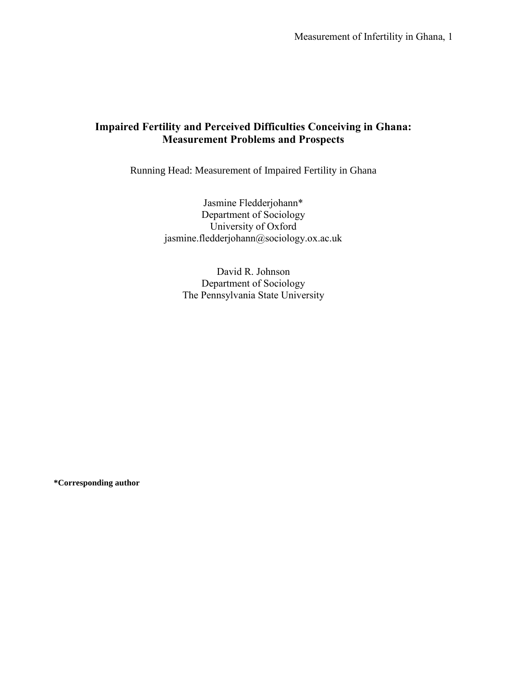Measurement of Infertility in Ghana, 1

# **Impaired Fertility and Perceived Difficulties Conceiving in Ghana: Measurement Problems and Prospects**

Running Head: Measurement of Impaired Fertility in Ghana

Jasmine Fledderjohann\* Department of Sociology University of Oxford jasmine.fledderjohann@sociology.ox.ac.uk

David R. Johnson Department of Sociology The Pennsylvania State University

**\*Corresponding author**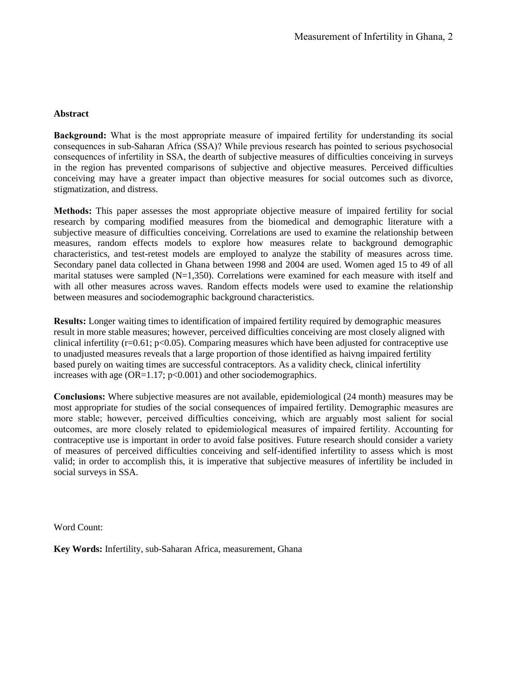## **Abstract**

**Background:** What is the most appropriate measure of impaired fertility for understanding its social consequences in sub-Saharan Africa (SSA)? While previous research has pointed to serious psychosocial consequences of infertility in SSA, the dearth of subjective measures of difficulties conceiving in surveys in the region has prevented comparisons of subjective and objective measures. Perceived difficulties conceiving may have a greater impact than objective measures for social outcomes such as divorce, stigmatization, and distress.

**Methods:** This paper assesses the most appropriate objective measure of impaired fertility for social research by comparing modified measures from the biomedical and demographic literature with a subjective measure of difficulties conceiving. Correlations are used to examine the relationship between measures, random effects models to explore how measures relate to background demographic characteristics, and test-retest models are employed to analyze the stability of measures across time. Secondary panel data collected in Ghana between 1998 and 2004 are used. Women aged 15 to 49 of all marital statuses were sampled  $(N=1,350)$ . Correlations were examined for each measure with itself and with all other measures across waves. Random effects models were used to examine the relationship between measures and sociodemographic background characteristics.

**Results:** Longer waiting times to identification of impaired fertility required by demographic measures result in more stable measures; however, perceived difficulties conceiving are most closely aligned with clinical infertility  $(r=0.61; p<0.05)$ . Comparing measures which have been adjusted for contraceptive use to unadjusted measures reveals that a large proportion of those identified as haivng impaired fertility based purely on waiting times are successful contraceptors. As a validity check, clinical infertility increases with age  $(OR=1.17; p<0.001)$  and other sociodemographics.

**Conclusions:** Where subjective measures are not available, epidemiological (24 month) measures may be most appropriate for studies of the social consequences of impaired fertility. Demographic measures are more stable; however, perceived difficulties conceiving, which are arguably most salient for social outcomes, are more closely related to epidemiological measures of impaired fertility. Accounting for contraceptive use is important in order to avoid false positives. Future research should consider a variety of measures of perceived difficulties conceiving and self-identified infertility to assess which is most valid; in order to accomplish this, it is imperative that subjective measures of infertility be included in social surveys in SSA.

Word Count:

**Key Words:** Infertility, sub-Saharan Africa, measurement, Ghana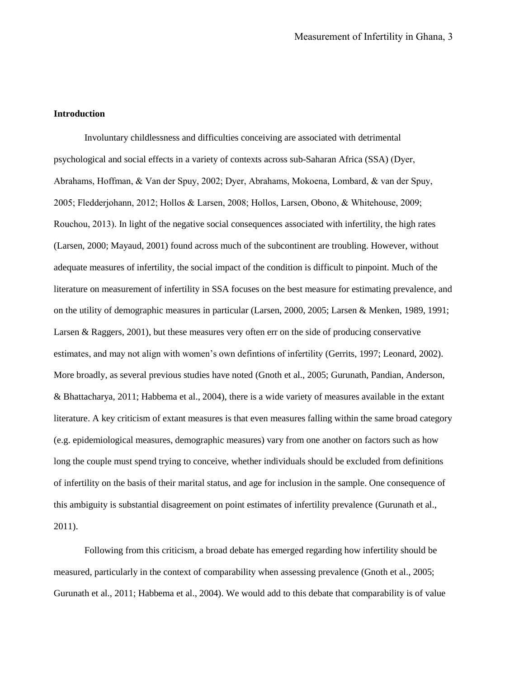### **Introduction**

Involuntary childlessness and difficulties conceiving are associated with detrimental psychological and social effects in a variety of contexts across sub-Saharan Africa (SSA) (Dyer, Abrahams, Hoffman, & Van der Spuy, 2002; Dyer, Abrahams, Mokoena, Lombard, & van der Spuy, 2005; Fledderjohann, 2012; Hollos & Larsen, 2008; Hollos, Larsen, Obono, & Whitehouse, 2009; Rouchou, 2013). In light of the negative social consequences associated with infertility, the high rates (Larsen, 2000; Mayaud, 2001) found across much of the subcontinent are troubling. However, without adequate measures of infertility, the social impact of the condition is difficult to pinpoint. Much of the literature on measurement of infertility in SSA focuses on the best measure for estimating prevalence, and on the utility of demographic measures in particular (Larsen, 2000, 2005; Larsen & Menken, 1989, 1991; Larsen & Raggers, 2001), but these measures very often err on the side of producing conservative estimates, and may not align with women's own defintions of infertility (Gerrits, 1997; Leonard, 2002). More broadly, as several previous studies have noted (Gnoth et al., 2005; Gurunath, Pandian, Anderson, & Bhattacharya, 2011; Habbema et al., 2004), there is a wide variety of measures available in the extant literature. A key criticism of extant measures is that even measures falling within the same broad category (e.g. epidemiological measures, demographic measures) vary from one another on factors such as how long the couple must spend trying to conceive, whether individuals should be excluded from definitions of infertility on the basis of their marital status, and age for inclusion in the sample. One consequence of this ambiguity is substantial disagreement on point estimates of infertility prevalence (Gurunath et al., 2011).

Following from this criticism, a broad debate has emerged regarding how infertility should be measured, particularly in the context of comparability when assessing prevalence (Gnoth et al., 2005; Gurunath et al., 2011; Habbema et al., 2004). We would add to this debate that comparability is of value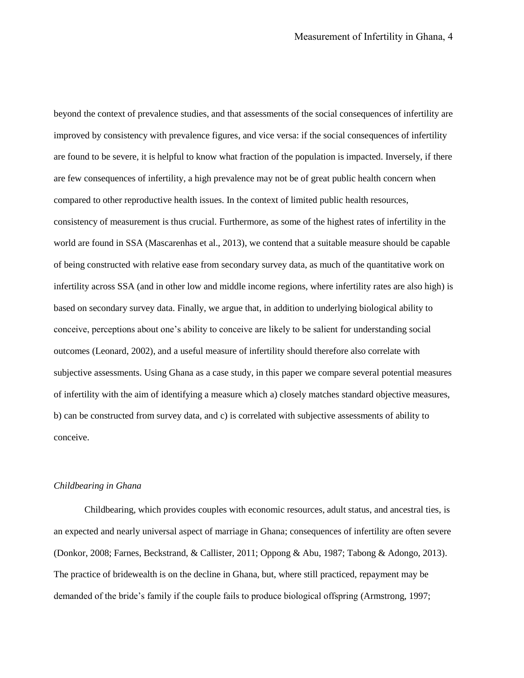beyond the context of prevalence studies, and that assessments of the social consequences of infertility are improved by consistency with prevalence figures, and vice versa: if the social consequences of infertility are found to be severe, it is helpful to know what fraction of the population is impacted. Inversely, if there are few consequences of infertility, a high prevalence may not be of great public health concern when compared to other reproductive health issues. In the context of limited public health resources, consistency of measurement is thus crucial. Furthermore, as some of the highest rates of infertility in the world are found in SSA (Mascarenhas et al., 2013), we contend that a suitable measure should be capable of being constructed with relative ease from secondary survey data, as much of the quantitative work on infertility across SSA (and in other low and middle income regions, where infertility rates are also high) is based on secondary survey data. Finally, we argue that, in addition to underlying biological ability to conceive, perceptions about one's ability to conceive are likely to be salient for understanding social outcomes (Leonard, 2002), and a useful measure of infertility should therefore also correlate with subjective assessments. Using Ghana as a case study, in this paper we compare several potential measures of infertility with the aim of identifying a measure which a) closely matches standard objective measures, b) can be constructed from survey data, and c) is correlated with subjective assessments of ability to conceive.

### *Childbearing in Ghana*

Childbearing, which provides couples with economic resources, adult status, and ancestral ties, is an expected and nearly universal aspect of marriage in Ghana; consequences of infertility are often severe (Donkor, 2008; Farnes, Beckstrand, & Callister, 2011; Oppong & Abu, 1987; Tabong & Adongo, 2013). The practice of bridewealth is on the decline in Ghana, but, where still practiced, repayment may be demanded of the bride's family if the couple fails to produce biological offspring (Armstrong, 1997;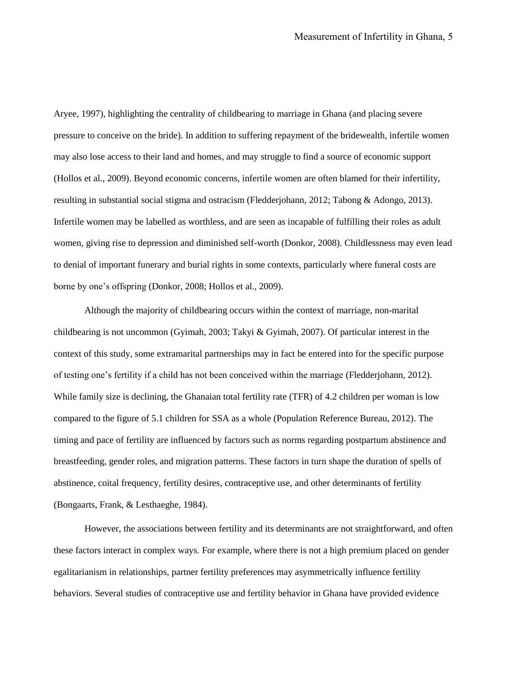Aryee, 1997), highlighting the centrality of childbearing to marriage in Ghana (and placing severe pressure to conceive on the bride). In addition to suffering repayment of the bridewealth, infertile women may also lose access to their land and homes, and may struggle to find a source of economic support (Hollos et al., 2009). Beyond economic concerns, infertile women are often blamed for their infertility, resulting in substantial social stigma and ostracism (Fledderjohann, 2012; Tabong & Adongo, 2013). Infertile women may be labelled as worthless, and are seen as incapable of fulfilling their roles as adult women, giving rise to depression and diminished self-worth (Donkor, 2008). Childlessness may even lead to denial of important funerary and burial rights in some contexts, particularly where funeral costs are borne by one's offspring (Donkor, 2008; Hollos et al., 2009).

Although the majority of childbearing occurs within the context of marriage, non-marital childbearing is not uncommon (Gyimah, 2003; Takyi & Gyimah, 2007). Of particular interest in the context of this study, some extramarital partnerships may in fact be entered into for the specific purpose of testing one's fertility if a child has not been conceived within the marriage (Fledderjohann, 2012). While family size is declining, the Ghanaian total fertility rate (TFR) of 4.2 children per woman is low compared to the figure of 5.1 children for SSA as a whole (Population Reference Bureau, 2012). The timing and pace of fertility are influenced by factors such as norms regarding postpartum abstinence and breastfeeding, gender roles, and migration patterns. These factors in turn shape the duration of spells of abstinence, coital frequency, fertility desires, contraceptive use, and other determinants of fertility (Bongaarts, Frank, & Lesthaeghe, 1984).

However, the associations between fertility and its determinants are not straightforward, and often these factors interact in complex ways. For example, where there is not a high premium placed on gender egalitarianism in relationships, partner fertility preferences may asymmetrically influence fertility behaviors. Several studies of contraceptive use and fertility behavior in Ghana have provided evidence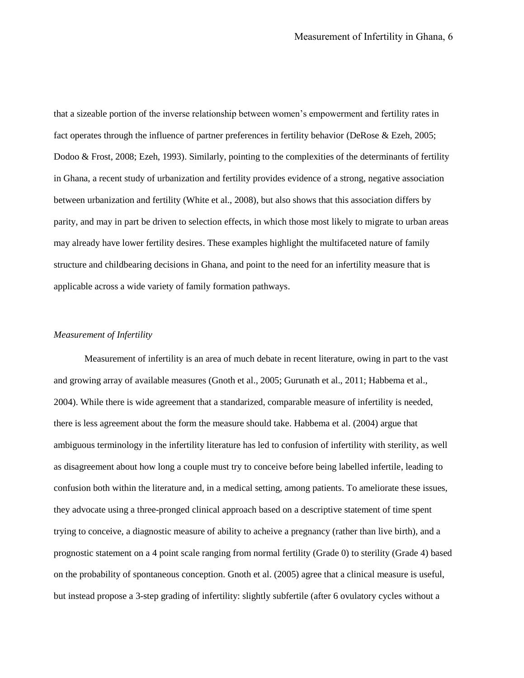that a sizeable portion of the inverse relationship between women's empowerment and fertility rates in fact operates through the influence of partner preferences in fertility behavior (DeRose & Ezeh, 2005; Dodoo & Frost, 2008; Ezeh, 1993). Similarly, pointing to the complexities of the determinants of fertility in Ghana, a recent study of urbanization and fertility provides evidence of a strong, negative association between urbanization and fertility (White et al., 2008), but also shows that this association differs by parity, and may in part be driven to selection effects, in which those most likely to migrate to urban areas may already have lower fertility desires. These examples highlight the multifaceted nature of family structure and childbearing decisions in Ghana, and point to the need for an infertility measure that is applicable across a wide variety of family formation pathways.

#### *Measurement of Infertility*

Measurement of infertility is an area of much debate in recent literature, owing in part to the vast and growing array of available measures (Gnoth et al., 2005; Gurunath et al., 2011; Habbema et al., 2004). While there is wide agreement that a standarized, comparable measure of infertility is needed, there is less agreement about the form the measure should take. Habbema et al. (2004) argue that ambiguous terminology in the infertility literature has led to confusion of infertility with sterility, as well as disagreement about how long a couple must try to conceive before being labelled infertile, leading to confusion both within the literature and, in a medical setting, among patients. To ameliorate these issues, they advocate using a three-pronged clinical approach based on a descriptive statement of time spent trying to conceive, a diagnostic measure of ability to acheive a pregnancy (rather than live birth), and a prognostic statement on a 4 point scale ranging from normal fertility (Grade 0) to sterility (Grade 4) based on the probability of spontaneous conception. Gnoth et al. (2005) agree that a clinical measure is useful, but instead propose a 3-step grading of infertility: slightly subfertile (after 6 ovulatory cycles without a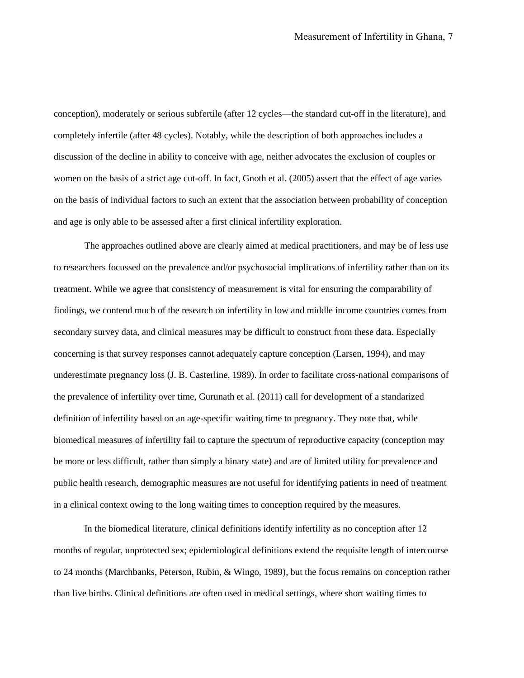conception), moderately or serious subfertile (after 12 cycles—the standard cut-off in the literature), and completely infertile (after 48 cycles). Notably, while the description of both approaches includes a discussion of the decline in ability to conceive with age, neither advocates the exclusion of couples or women on the basis of a strict age cut-off. In fact, Gnoth et al. (2005) assert that the effect of age varies on the basis of individual factors to such an extent that the association between probability of conception and age is only able to be assessed after a first clinical infertility exploration.

The approaches outlined above are clearly aimed at medical practitioners, and may be of less use to researchers focussed on the prevalence and/or psychosocial implications of infertility rather than on its treatment. While we agree that consistency of measurement is vital for ensuring the comparability of findings, we contend much of the research on infertility in low and middle income countries comes from secondary survey data, and clinical measures may be difficult to construct from these data. Especially concerning is that survey responses cannot adequately capture conception (Larsen, 1994), and may underestimate pregnancy loss (J. B. Casterline, 1989). In order to facilitate cross-national comparisons of the prevalence of infertility over time, Gurunath et al. (2011) call for development of a standarized definition of infertility based on an age-specific waiting time to pregnancy. They note that, while biomedical measures of infertility fail to capture the spectrum of reproductive capacity (conception may be more or less difficult, rather than simply a binary state) and are of limited utility for prevalence and public health research, demographic measures are not useful for identifying patients in need of treatment in a clinical context owing to the long waiting times to conception required by the measures.

In the biomedical literature, clinical definitions identify infertility as no conception after 12 months of regular, unprotected sex; epidemiological definitions extend the requisite length of intercourse to 24 months (Marchbanks, Peterson, Rubin, & Wingo, 1989), but the focus remains on conception rather than live births. Clinical definitions are often used in medical settings, where short waiting times to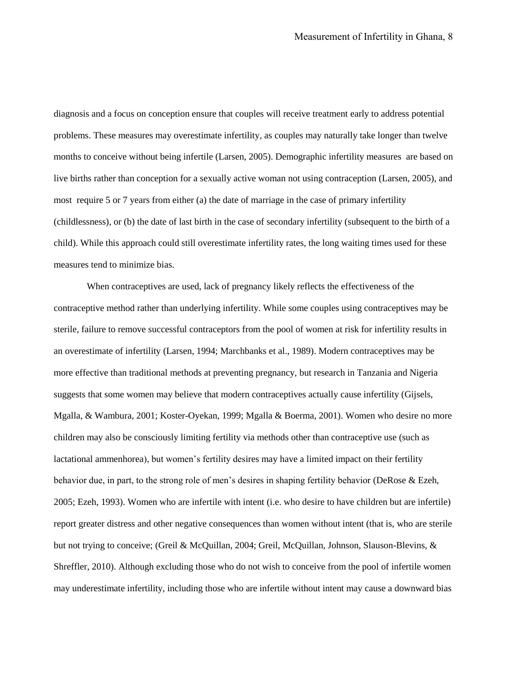diagnosis and a focus on conception ensure that couples will receive treatment early to address potential problems. These measures may overestimate infertility, as couples may naturally take longer than twelve months to conceive without being infertile (Larsen, 2005). Demographic infertility measures are based on live births rather than conception for a sexually active woman not using contraception (Larsen, 2005), and most require 5 or 7 years from either (a) the date of marriage in the case of primary infertility (childlessness), or (b) the date of last birth in the case of secondary infertility (subsequent to the birth of a child). While this approach could still overestimate infertility rates, the long waiting times used for these measures tend to minimize bias.

When contraceptives are used, lack of pregnancy likely reflects the effectiveness of the contraceptive method rather than underlying infertility. While some couples using contraceptives may be sterile, failure to remove successful contraceptors from the pool of women at risk for infertility results in an overestimate of infertility (Larsen, 1994; Marchbanks et al., 1989). Modern contraceptives may be more effective than traditional methods at preventing pregnancy, but research in Tanzania and Nigeria suggests that some women may believe that modern contraceptives actually cause infertility (Gijsels, Mgalla, & Wambura, 2001; Koster-Oyekan, 1999; Mgalla & Boerma, 2001). Women who desire no more children may also be consciously limiting fertility via methods other than contraceptive use (such as lactational ammenhorea), but women's fertility desires may have a limited impact on their fertility behavior due, in part, to the strong role of men's desires in shaping fertility behavior (DeRose & Ezeh, 2005; Ezeh, 1993). Women who are infertile with intent (i.e. who desire to have children but are infertile) report greater distress and other negative consequences than women without intent (that is, who are sterile but not trying to conceive; (Greil & McQuillan, 2004; Greil, McQuillan, Johnson, Slauson-Blevins, & Shreffler, 2010). Although excluding those who do not wish to conceive from the pool of infertile women may underestimate infertility, including those who are infertile without intent may cause a downward bias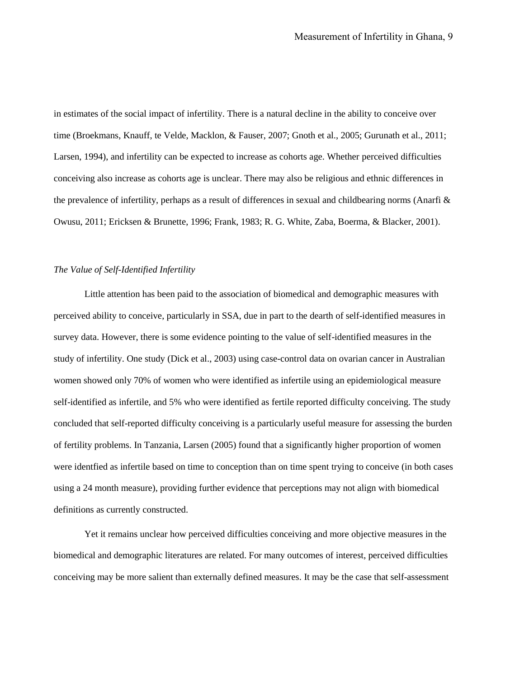in estimates of the social impact of infertility. There is a natural decline in the ability to conceive over time (Broekmans, Knauff, te Velde, Macklon, & Fauser, 2007; Gnoth et al., 2005; Gurunath et al., 2011; Larsen, 1994), and infertility can be expected to increase as cohorts age. Whether perceived difficulties conceiving also increase as cohorts age is unclear. There may also be religious and ethnic differences in the prevalence of infertility, perhaps as a result of differences in sexual and childbearing norms (Anarfi & Owusu, 2011; Ericksen & Brunette, 1996; Frank, 1983; R. G. White, Zaba, Boerma, & Blacker, 2001).

#### *The Value of Self-Identified Infertility*

Little attention has been paid to the association of biomedical and demographic measures with perceived ability to conceive, particularly in SSA, due in part to the dearth of self-identified measures in survey data. However, there is some evidence pointing to the value of self-identified measures in the study of infertility. One study (Dick et al., 2003) using case-control data on ovarian cancer in Australian women showed only 70% of women who were identified as infertile using an epidemiological measure self-identified as infertile, and 5% who were identified as fertile reported difficulty conceiving. The study concluded that self-reported difficulty conceiving is a particularly useful measure for assessing the burden of fertility problems. In Tanzania, Larsen (2005) found that a significantly higher proportion of women were identfied as infertile based on time to conception than on time spent trying to conceive (in both cases using a 24 month measure), providing further evidence that perceptions may not align with biomedical definitions as currently constructed.

Yet it remains unclear how perceived difficulties conceiving and more objective measures in the biomedical and demographic literatures are related. For many outcomes of interest, perceived difficulties conceiving may be more salient than externally defined measures. It may be the case that self-assessment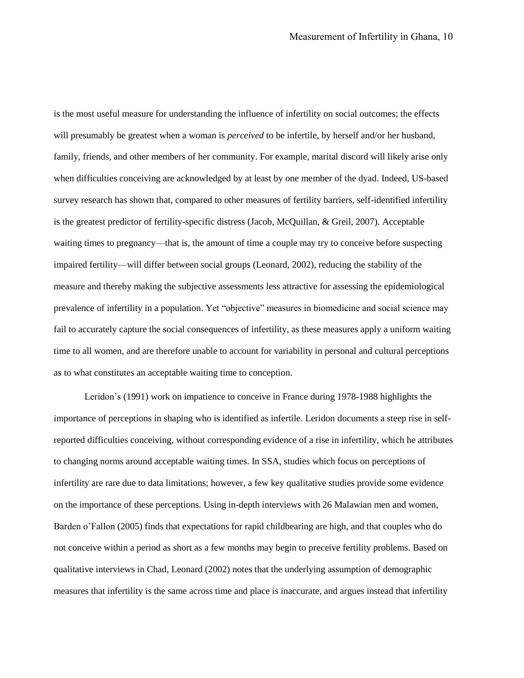is the most useful measure for understanding the influence of infertility on social outcomes; the effects will presumably be greatest when a woman is *perceived* to be infertile, by herself and/or her husband, family, friends, and other members of her community. For example, marital discord will likely arise only when difficulties conceiving are acknowledged by at least by one member of the dyad. Indeed, US-based survey research has shown that, compared to other measures of fertility barriers, self-identified infertility is the greatest predictor of fertility-specific distress (Jacob, McQuillan, & Greil, 2007). Acceptable waiting times to pregnancy—that is, the amount of time a couple may try to conceive before suspecting impaired fertility—will differ between social groups (Leonard, 2002), reducing the stability of the measure and thereby making the subjective assessments less attractive for assessing the epidemiological prevalence of infertility in a population. Yet "objective" measures in biomedicine and social science may fail to accurately capture the social consequences of infertility, as these measures apply a uniform waiting time to all women, and are therefore unable to account for variability in personal and cultural perceptions as to what constitutes an acceptable waiting time to conception.

Leridon's (1991) work on impatience to conceive in France during 1978-1988 highlights the importance of perceptions in shaping who is identified as infertile. Leridon documents a steep rise in selfreported difficulties conceiving, without corresponding evidence of a rise in infertility, which he attributes to changing norms around acceptable waiting times. In SSA, studies which focus on perceptions of infertility are rare due to data limitations; however, a few key qualitative studies provide some evidence on the importance of these perceptions. Using in-depth interviews with 26 Malawian men and women, Barden o'Fallon (2005) finds that expectations for rapid childbearing are high, and that couples who do not conceive within a period as short as a few months may begin to preceive fertility problems. Based on qualitative interviews in Chad, Leonard (2002) notes that the underlying assumption of demographic measures that infertility is the same across time and place is inaccurate, and argues instead that infertility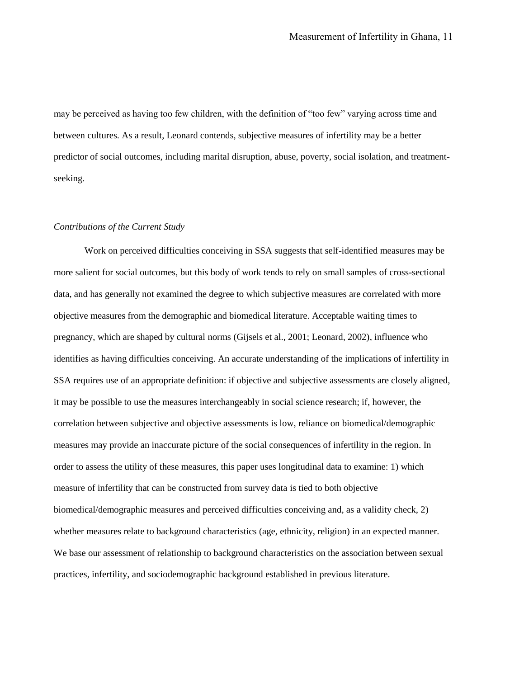may be perceived as having too few children, with the definition of "too few" varying across time and between cultures. As a result, Leonard contends, subjective measures of infertility may be a better predictor of social outcomes, including marital disruption, abuse, poverty, social isolation, and treatmentseeking.

#### *Contributions of the Current Study*

Work on perceived difficulties conceiving in SSA suggests that self-identified measures may be more salient for social outcomes, but this body of work tends to rely on small samples of cross-sectional data, and has generally not examined the degree to which subjective measures are correlated with more objective measures from the demographic and biomedical literature. Acceptable waiting times to pregnancy, which are shaped by cultural norms (Gijsels et al., 2001; Leonard, 2002), influence who identifies as having difficulties conceiving. An accurate understanding of the implications of infertility in SSA requires use of an appropriate definition: if objective and subjective assessments are closely aligned, it may be possible to use the measures interchangeably in social science research; if, however, the correlation between subjective and objective assessments is low, reliance on biomedical/demographic measures may provide an inaccurate picture of the social consequences of infertility in the region. In order to assess the utility of these measures, this paper uses longitudinal data to examine: 1) which measure of infertility that can be constructed from survey data is tied to both objective biomedical/demographic measures and perceived difficulties conceiving and, as a validity check, 2) whether measures relate to background characteristics (age, ethnicity, religion) in an expected manner. We base our assessment of relationship to background characteristics on the association between sexual practices, infertility, and sociodemographic background established in previous literature.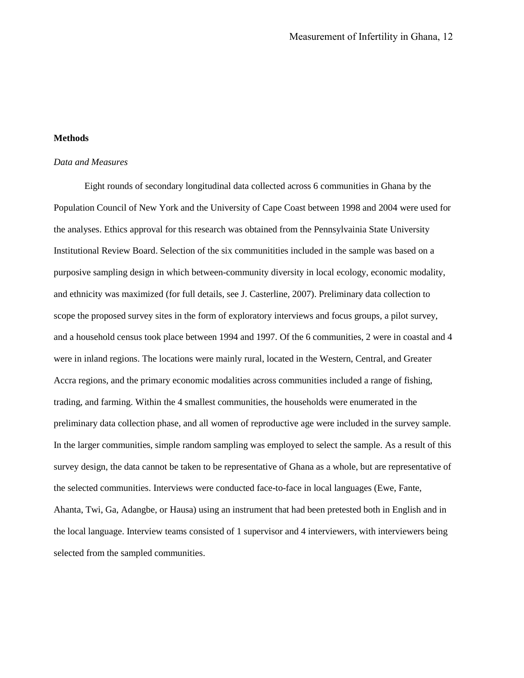#### **Methods**

#### *Data and Measures*

Eight rounds of secondary longitudinal data collected across 6 communities in Ghana by the Population Council of New York and the University of Cape Coast between 1998 and 2004 were used for the analyses. Ethics approval for this research was obtained from the Pennsylvainia State University Institutional Review Board. Selection of the six communitities included in the sample was based on a purposive sampling design in which between-community diversity in local ecology, economic modality, and ethnicity was maximized (for full details, see J. Casterline, 2007). Preliminary data collection to scope the proposed survey sites in the form of exploratory interviews and focus groups, a pilot survey, and a household census took place between 1994 and 1997. Of the 6 communities, 2 were in coastal and 4 were in inland regions. The locations were mainly rural, located in the Western, Central, and Greater Accra regions, and the primary economic modalities across communities included a range of fishing, trading, and farming. Within the 4 smallest communities, the households were enumerated in the preliminary data collection phase, and all women of reproductive age were included in the survey sample. In the larger communities, simple random sampling was employed to select the sample. As a result of this survey design, the data cannot be taken to be representative of Ghana as a whole, but are representative of the selected communities. Interviews were conducted face-to-face in local languages (Ewe, Fante, Ahanta, Twi, Ga, Adangbe, or Hausa) using an instrument that had been pretested both in English and in the local language. Interview teams consisted of 1 supervisor and 4 interviewers, with interviewers being selected from the sampled communities.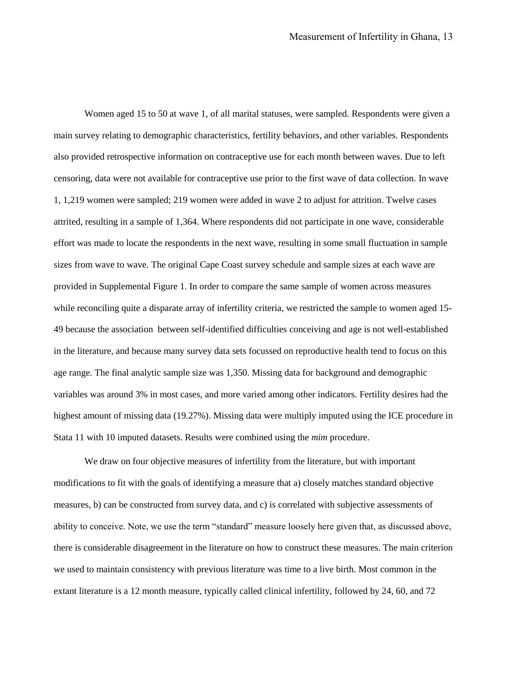Women aged 15 to 50 at wave 1, of all marital statuses, were sampled. Respondents were given a main survey relating to demographic characteristics, fertility behaviors, and other variables. Respondents also provided retrospective information on contraceptive use for each month between waves. Due to left censoring, data were not available for contraceptive use prior to the first wave of data collection. In wave 1, 1,219 women were sampled; 219 women were added in wave 2 to adjust for attrition. Twelve cases attrited, resulting in a sample of 1,364. Where respondents did not participate in one wave, considerable effort was made to locate the respondents in the next wave, resulting in some small fluctuation in sample sizes from wave to wave. The original Cape Coast survey schedule and sample sizes at each wave are provided in Supplemental Figure 1. In order to compare the same sample of women across measures while reconciling quite a disparate array of infertility criteria, we restricted the sample to women aged 15-49 because the association between self-identified difficulties conceiving and age is not well-established in the literature, and because many survey data sets focussed on reproductive health tend to focus on this age range. The final analytic sample size was 1,350. Missing data for background and demographic variables was around 3% in most cases, and more varied among other indicators. Fertility desires had the highest amount of missing data (19.27%). Missing data were multiply imputed using the ICE procedure in Stata 11 with 10 imputed datasets. Results were combined using the *mim* procedure.

We draw on four objective measures of infertility from the literature, but with important modifications to fit with the goals of identifying a measure that a) closely matches standard objective measures, b) can be constructed from survey data, and c) is correlated with subjective assessments of ability to conceive. Note, we use the term "standard" measure loosely here given that, as discussed above, there is considerable disagreement in the literature on how to construct these measures. The main criterion we used to maintain consistency with previous literature was time to a live birth. Most common in the extant literature is a 12 month measure, typically called clinical infertility, followed by 24, 60, and 72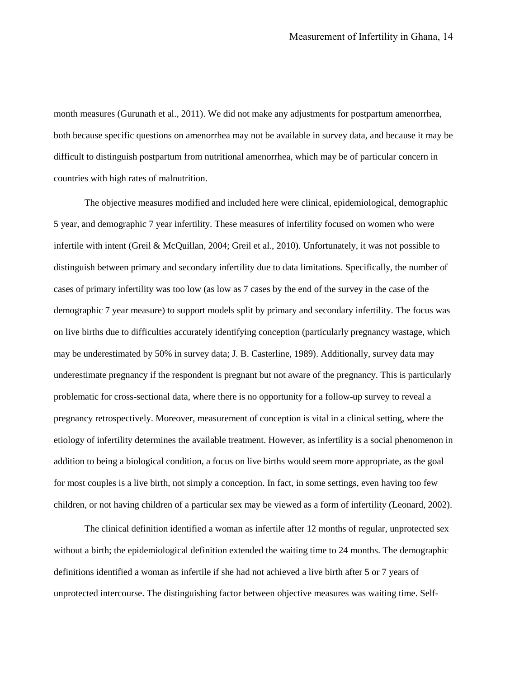month measures (Gurunath et al., 2011). We did not make any adjustments for postpartum amenorrhea, both because specific questions on amenorrhea may not be available in survey data, and because it may be difficult to distinguish postpartum from nutritional amenorrhea, which may be of particular concern in countries with high rates of malnutrition.

The objective measures modified and included here were clinical, epidemiological, demographic 5 year, and demographic 7 year infertility. These measures of infertility focused on women who were infertile with intent (Greil & McQuillan, 2004; Greil et al., 2010). Unfortunately, it was not possible to distinguish between primary and secondary infertility due to data limitations. Specifically, the number of cases of primary infertility was too low (as low as 7 cases by the end of the survey in the case of the demographic 7 year measure) to support models split by primary and secondary infertility. The focus was on live births due to difficulties accurately identifying conception (particularly pregnancy wastage, which may be underestimated by 50% in survey data; J. B. Casterline, 1989). Additionally, survey data may underestimate pregnancy if the respondent is pregnant but not aware of the pregnancy. This is particularly problematic for cross-sectional data, where there is no opportunity for a follow-up survey to reveal a pregnancy retrospectively. Moreover, measurement of conception is vital in a clinical setting, where the etiology of infertility determines the available treatment. However, as infertility is a social phenomenon in addition to being a biological condition, a focus on live births would seem more appropriate, as the goal for most couples is a live birth, not simply a conception. In fact, in some settings, even having too few children, or not having children of a particular sex may be viewed as a form of infertility (Leonard, 2002).

The clinical definition identified a woman as infertile after 12 months of regular, unprotected sex without a birth; the epidemiological definition extended the waiting time to 24 months. The demographic definitions identified a woman as infertile if she had not achieved a live birth after 5 or 7 years of unprotected intercourse. The distinguishing factor between objective measures was waiting time. Self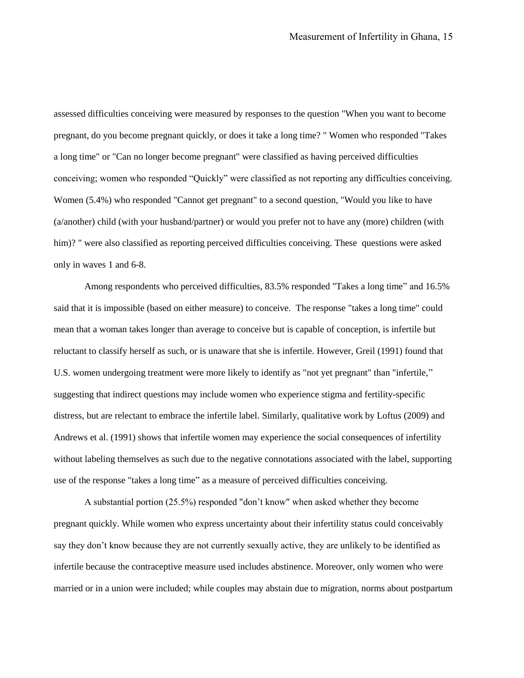assessed difficulties conceiving were measured by responses to the question "When you want to become pregnant, do you become pregnant quickly, or does it take a long time? " Women who responded "Takes a long time" or "Can no longer become pregnant" were classified as having perceived difficulties conceiving; women who responded "Quickly" were classified as not reporting any difficulties conceiving. Women (5.4%) who responded "Cannot get pregnant" to a second question, "Would you like to have (a/another) child (with your husband/partner) or would you prefer not to have any (more) children (with him)? " were also classified as reporting perceived difficulties conceiving. These questions were asked only in waves 1 and 6-8.

Among respondents who perceived difficulties, 83.5% responded "Takes a long time" and 16.5% said that it is impossible (based on either measure) to conceive. The response "takes a long time" could mean that a woman takes longer than average to conceive but is capable of conception, is infertile but reluctant to classify herself as such, or is unaware that she is infertile. However, Greil (1991) found that U.S. women undergoing treatment were more likely to identify as "not yet pregnant" than "infertile," suggesting that indirect questions may include women who experience stigma and fertility-specific distress, but are relectant to embrace the infertile label. Similarly, qualitative work by Loftus (2009) and Andrews et al. (1991) shows that infertile women may experience the social consequences of infertility without labeling themselves as such due to the negative connotations associated with the label, supporting use of the response "takes a long time" as a measure of perceived difficulties conceiving.

A substantial portion (25.5%) responded "don't know" when asked whether they become pregnant quickly. While women who express uncertainty about their infertility status could conceivably say they don't know because they are not currently sexually active, they are unlikely to be identified as infertile because the contraceptive measure used includes abstinence. Moreover, only women who were married or in a union were included; while couples may abstain due to migration, norms about postpartum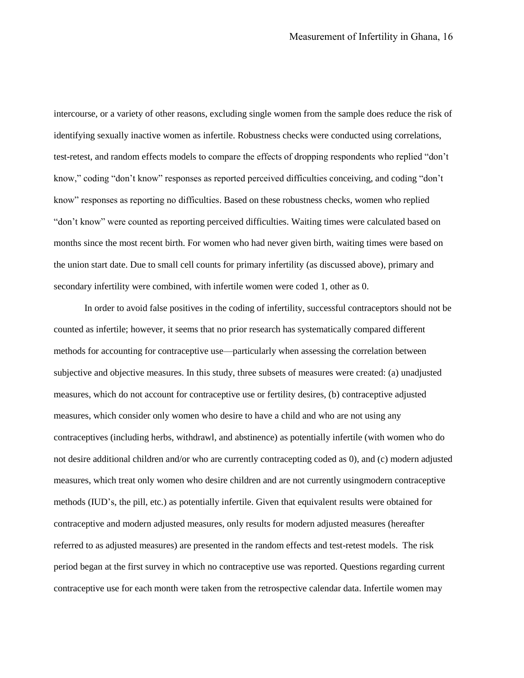intercourse, or a variety of other reasons, excluding single women from the sample does reduce the risk of identifying sexually inactive women as infertile. Robustness checks were conducted using correlations, test-retest, and random effects models to compare the effects of dropping respondents who replied "don't know," coding "don't know" responses as reported perceived difficulties conceiving, and coding "don't know" responses as reporting no difficulties. Based on these robustness checks, women who replied "don't know" were counted as reporting perceived difficulties. Waiting times were calculated based on months since the most recent birth. For women who had never given birth, waiting times were based on the union start date. Due to small cell counts for primary infertility (as discussed above), primary and secondary infertility were combined, with infertile women were coded 1, other as 0.

In order to avoid false positives in the coding of infertility, successful contraceptors should not be counted as infertile; however, it seems that no prior research has systematically compared different methods for accounting for contraceptive use—particularly when assessing the correlation between subjective and objective measures. In this study, three subsets of measures were created: (a) unadjusted measures, which do not account for contraceptive use or fertility desires, (b) contraceptive adjusted measures, which consider only women who desire to have a child and who are not using any contraceptives (including herbs, withdrawl, and abstinence) as potentially infertile (with women who do not desire additional children and/or who are currently contracepting coded as 0), and (c) modern adjusted measures, which treat only women who desire children and are not currently usingmodern contraceptive methods (IUD's, the pill, etc.) as potentially infertile. Given that equivalent results were obtained for contraceptive and modern adjusted measures, only results for modern adjusted measures (hereafter referred to as adjusted measures) are presented in the random effects and test-retest models. The risk period began at the first survey in which no contraceptive use was reported. Questions regarding current contraceptive use for each month were taken from the retrospective calendar data. Infertile women may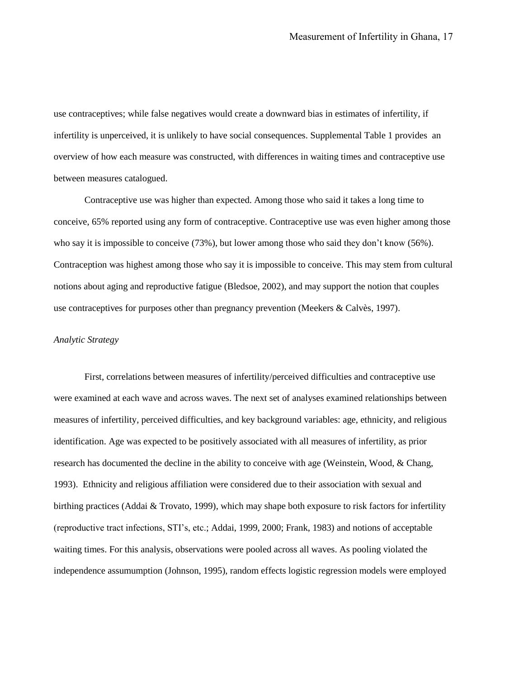use contraceptives; while false negatives would create a downward bias in estimates of infertility, if infertility is unperceived, it is unlikely to have social consequences. Supplemental Table 1 provides an overview of how each measure was constructed, with differences in waiting times and contraceptive use between measures catalogued.

Contraceptive use was higher than expected. Among those who said it takes a long time to conceive, 65% reported using any form of contraceptive. Contraceptive use was even higher among those who say it is impossible to conceive (73%), but lower among those who said they don't know (56%). Contraception was highest among those who say it is impossible to conceive. This may stem from cultural notions about aging and reproductive fatigue (Bledsoe, 2002), and may support the notion that couples use contraceptives for purposes other than pregnancy prevention (Meekers & Calvès, 1997).

#### *Analytic Strategy*

First, correlations between measures of infertility/perceived difficulties and contraceptive use were examined at each wave and across waves. The next set of analyses examined relationships between measures of infertility, perceived difficulties, and key background variables: age, ethnicity, and religious identification. Age was expected to be positively associated with all measures of infertility, as prior research has documented the decline in the ability to conceive with age (Weinstein, Wood, & Chang, 1993). Ethnicity and religious affiliation were considered due to their association with sexual and birthing practices (Addai & Trovato, 1999), which may shape both exposure to risk factors for infertility (reproductive tract infections, STI's, etc.; Addai, 1999, 2000; Frank, 1983) and notions of acceptable waiting times. For this analysis, observations were pooled across all waves. As pooling violated the independence assumumption (Johnson, 1995), random effects logistic regression models were employed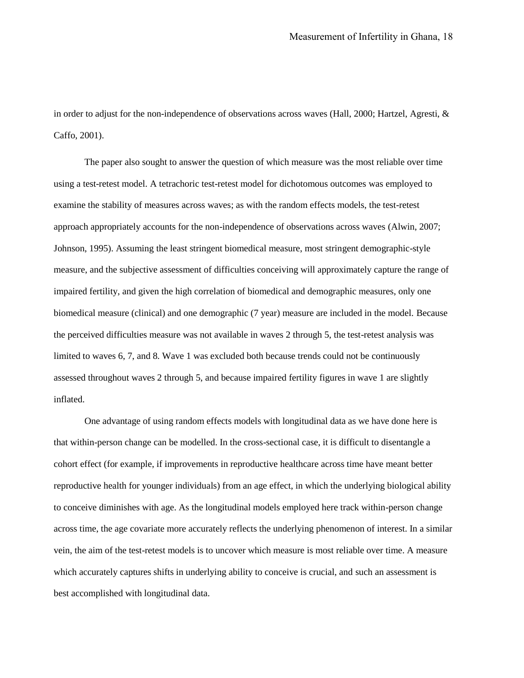in order to adjust for the non-independence of observations across waves (Hall, 2000; Hartzel, Agresti, & Caffo, 2001).

The paper also sought to answer the question of which measure was the most reliable over time using a test-retest model. A tetrachoric test-retest model for dichotomous outcomes was employed to examine the stability of measures across waves; as with the random effects models, the test-retest approach appropriately accounts for the non-independence of observations across waves (Alwin, 2007; Johnson, 1995). Assuming the least stringent biomedical measure, most stringent demographic-style measure, and the subjective assessment of difficulties conceiving will approximately capture the range of impaired fertility, and given the high correlation of biomedical and demographic measures, only one biomedical measure (clinical) and one demographic (7 year) measure are included in the model. Because the perceived difficulties measure was not available in waves 2 through 5, the test-retest analysis was limited to waves 6, 7, and 8. Wave 1 was excluded both because trends could not be continuously assessed throughout waves 2 through 5, and because impaired fertility figures in wave 1 are slightly inflated.

One advantage of using random effects models with longitudinal data as we have done here is that within-person change can be modelled. In the cross-sectional case, it is difficult to disentangle a cohort effect (for example, if improvements in reproductive healthcare across time have meant better reproductive health for younger individuals) from an age effect, in which the underlying biological ability to conceive diminishes with age. As the longitudinal models employed here track within-person change across time, the age covariate more accurately reflects the underlying phenomenon of interest. In a similar vein, the aim of the test-retest models is to uncover which measure is most reliable over time. A measure which accurately captures shifts in underlying ability to conceive is crucial, and such an assessment is best accomplished with longitudinal data.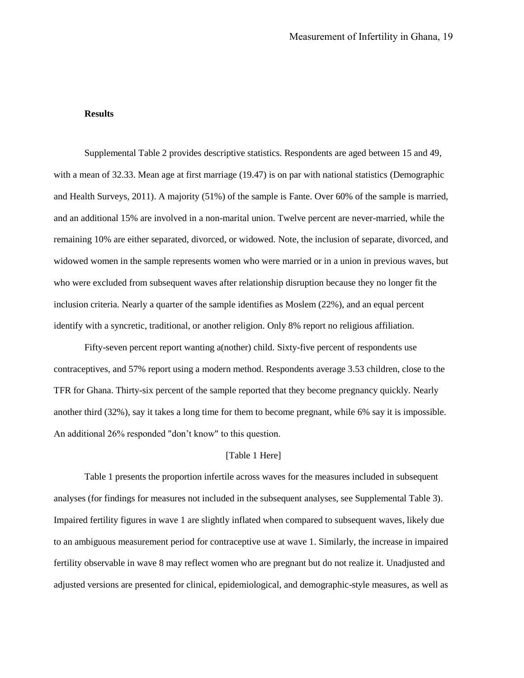### **Results**

Supplemental Table 2 provides descriptive statistics. Respondents are aged between 15 and 49, with a mean of 32.33. Mean age at first marriage (19.47) is on par with national statistics (Demographic and Health Surveys, 2011). A majority (51%) of the sample is Fante. Over 60% of the sample is married, and an additional 15% are involved in a non-marital union. Twelve percent are never-married, while the remaining 10% are either separated, divorced, or widowed. Note, the inclusion of separate, divorced, and widowed women in the sample represents women who were married or in a union in previous waves, but who were excluded from subsequent waves after relationship disruption because they no longer fit the inclusion criteria. Nearly a quarter of the sample identifies as Moslem (22%), and an equal percent identify with a syncretic, traditional, or another religion. Only 8% report no religious affiliation.

Fifty-seven percent report wanting a(nother) child. Sixty-five percent of respondents use contraceptives, and 57% report using a modern method. Respondents average 3.53 children, close to the TFR for Ghana. Thirty-six percent of the sample reported that they become pregnancy quickly. Nearly another third (32%), say it takes a long time for them to become pregnant, while 6% say it is impossible. An additional 26% responded "don't know" to this question.

### [Table 1 Here]

Table 1 presents the proportion infertile across waves for the measures included in subsequent analyses (for findings for measures not included in the subsequent analyses, see Supplemental Table 3). Impaired fertility figures in wave 1 are slightly inflated when compared to subsequent waves, likely due to an ambiguous measurement period for contraceptive use at wave 1. Similarly, the increase in impaired fertility observable in wave 8 may reflect women who are pregnant but do not realize it. Unadjusted and adjusted versions are presented for clinical, epidemiological, and demographic-style measures, as well as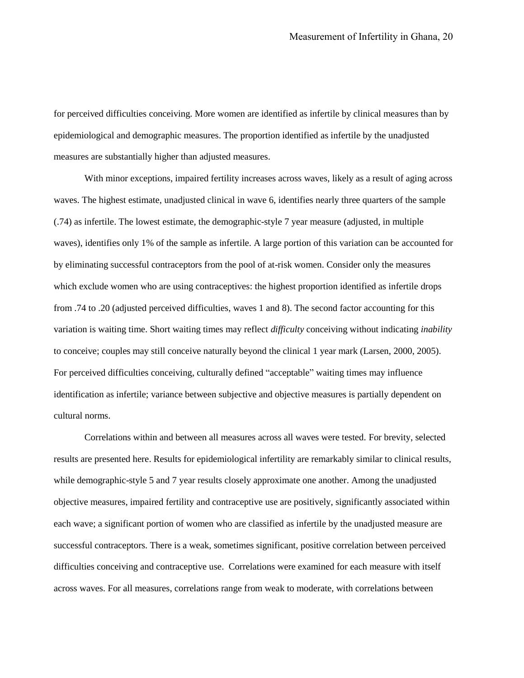for perceived difficulties conceiving. More women are identified as infertile by clinical measures than by epidemiological and demographic measures. The proportion identified as infertile by the unadjusted measures are substantially higher than adjusted measures.

With minor exceptions, impaired fertility increases across waves, likely as a result of aging across waves. The highest estimate, unadjusted clinical in wave 6, identifies nearly three quarters of the sample (.74) as infertile. The lowest estimate, the demographic-style 7 year measure (adjusted, in multiple waves), identifies only 1% of the sample as infertile. A large portion of this variation can be accounted for by eliminating successful contraceptors from the pool of at-risk women. Consider only the measures which exclude women who are using contraceptives: the highest proportion identified as infertile drops from .74 to .20 (adjusted perceived difficulties, waves 1 and 8). The second factor accounting for this variation is waiting time. Short waiting times may reflect *difficulty* conceiving without indicating *inability* to conceive; couples may still conceive naturally beyond the clinical 1 year mark (Larsen, 2000, 2005). For perceived difficulties conceiving, culturally defined "acceptable" waiting times may influence identification as infertile; variance between subjective and objective measures is partially dependent on cultural norms.

Correlations within and between all measures across all waves were tested. For brevity, selected results are presented here. Results for epidemiological infertility are remarkably similar to clinical results, while demographic-style 5 and 7 year results closely approximate one another. Among the unadjusted objective measures, impaired fertility and contraceptive use are positively, significantly associated within each wave; a significant portion of women who are classified as infertile by the unadjusted measure are successful contraceptors. There is a weak, sometimes significant, positive correlation between perceived difficulties conceiving and contraceptive use. Correlations were examined for each measure with itself across waves. For all measures, correlations range from weak to moderate, with correlations between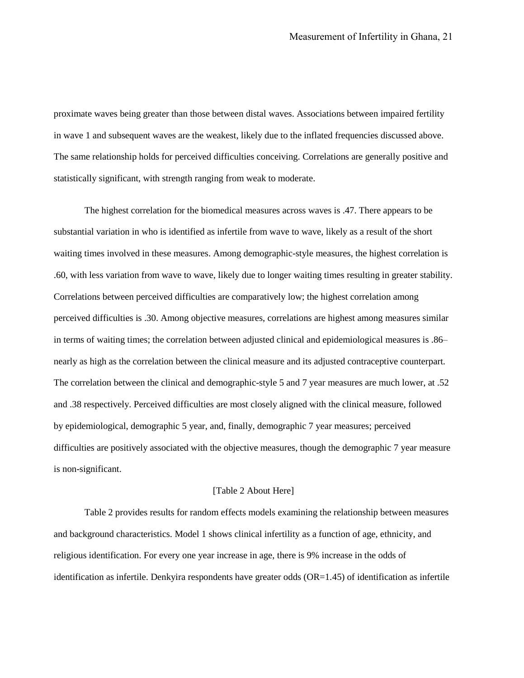proximate waves being greater than those between distal waves. Associations between impaired fertility in wave 1 and subsequent waves are the weakest, likely due to the inflated frequencies discussed above. The same relationship holds for perceived difficulties conceiving. Correlations are generally positive and statistically significant, with strength ranging from weak to moderate.

The highest correlation for the biomedical measures across waves is .47. There appears to be substantial variation in who is identified as infertile from wave to wave, likely as a result of the short waiting times involved in these measures. Among demographic-style measures, the highest correlation is .60, with less variation from wave to wave, likely due to longer waiting times resulting in greater stability. Correlations between perceived difficulties are comparatively low; the highest correlation among perceived difficulties is .30. Among objective measures, correlations are highest among measures similar in terms of waiting times; the correlation between adjusted clinical and epidemiological measures is .86– nearly as high as the correlation between the clinical measure and its adjusted contraceptive counterpart. The correlation between the clinical and demographic-style 5 and 7 year measures are much lower, at .52 and .38 respectively. Perceived difficulties are most closely aligned with the clinical measure, followed by epidemiological, demographic 5 year, and, finally, demographic 7 year measures; perceived difficulties are positively associated with the objective measures, though the demographic 7 year measure is non-significant.

#### [Table 2 About Here]

Table 2 provides results for random effects models examining the relationship between measures and background characteristics. Model 1 shows clinical infertility as a function of age, ethnicity, and religious identification. For every one year increase in age, there is 9% increase in the odds of identification as infertile. Denkyira respondents have greater odds (OR=1.45) of identification as infertile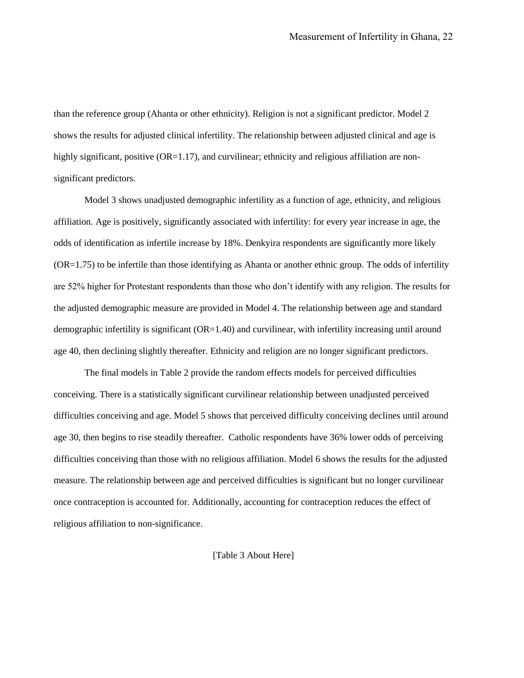than the reference group (Ahanta or other ethnicity). Religion is not a significant predictor. Model 2 shows the results for adjusted clinical infertility. The relationship between adjusted clinical and age is highly significant, positive  $(OR=1.17)$ , and curvilinear; ethnicity and religious affiliation are nonsignificant predictors.

Model 3 shows unadjusted demographic infertility as a function of age, ethnicity, and religious affiliation. Age is positively, significantly associated with infertility: for every year increase in age, the odds of identification as infertile increase by 18%. Denkyira respondents are significantly more likely (OR=1.75) to be infertile than those identifying as Ahanta or another ethnic group. The odds of infertility are 52% higher for Protestant respondents than those who don't identify with any religion. The results for the adjusted demographic measure are provided in Model 4. The relationship between age and standard demographic infertility is significant (OR=1.40) and curvilinear, with infertility increasing until around age 40, then declining slightly thereafter. Ethnicity and religion are no longer significant predictors.

The final models in Table 2 provide the random effects models for perceived difficulties conceiving. There is a statistically significant curvilinear relationship between unadjusted perceived difficulties conceiving and age. Model 5 shows that perceived difficulty conceiving declines until around age 30, then begins to rise steadily thereafter. Catholic respondents have 36% lower odds of perceiving difficulties conceiving than those with no religious affiliation. Model 6 shows the results for the adjusted measure. The relationship between age and perceived difficulties is significant but no longer curvilinear once contraception is accounted for. Additionally, accounting for contraception reduces the effect of religious affiliation to non-significance.

#### [Table 3 About Here]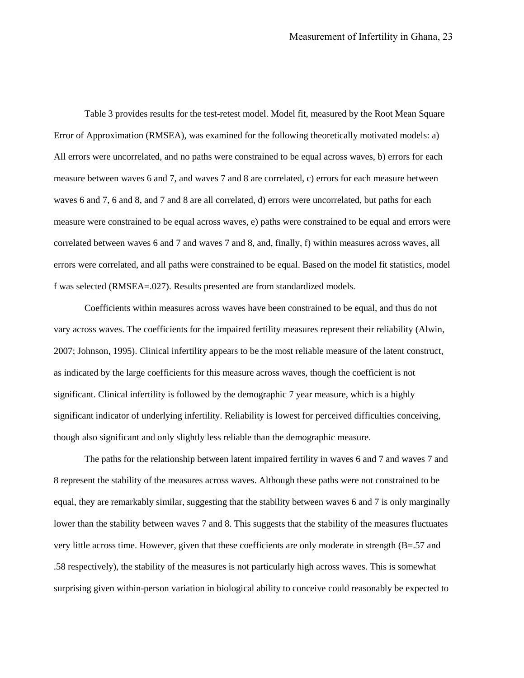Table 3 provides results for the test-retest model. Model fit, measured by the Root Mean Square Error of Approximation (RMSEA), was examined for the following theoretically motivated models: a) All errors were uncorrelated, and no paths were constrained to be equal across waves, b) errors for each measure between waves 6 and 7, and waves 7 and 8 are correlated, c) errors for each measure between waves 6 and 7, 6 and 8, and 7 and 8 are all correlated, d) errors were uncorrelated, but paths for each measure were constrained to be equal across waves, e) paths were constrained to be equal and errors were correlated between waves 6 and 7 and waves 7 and 8, and, finally, f) within measures across waves, all errors were correlated, and all paths were constrained to be equal. Based on the model fit statistics, model f was selected (RMSEA=.027). Results presented are from standardized models.

Coefficients within measures across waves have been constrained to be equal, and thus do not vary across waves. The coefficients for the impaired fertility measures represent their reliability (Alwin, 2007; Johnson, 1995). Clinical infertility appears to be the most reliable measure of the latent construct, as indicated by the large coefficients for this measure across waves, though the coefficient is not significant. Clinical infertility is followed by the demographic 7 year measure, which is a highly significant indicator of underlying infertility. Reliability is lowest for perceived difficulties conceiving, though also significant and only slightly less reliable than the demographic measure.

The paths for the relationship between latent impaired fertility in waves 6 and 7 and waves 7 and 8 represent the stability of the measures across waves. Although these paths were not constrained to be equal, they are remarkably similar, suggesting that the stability between waves 6 and 7 is only marginally lower than the stability between waves 7 and 8. This suggests that the stability of the measures fluctuates very little across time. However, given that these coefficients are only moderate in strength (B=.57 and .58 respectively), the stability of the measures is not particularly high across waves. This is somewhat surprising given within-person variation in biological ability to conceive could reasonably be expected to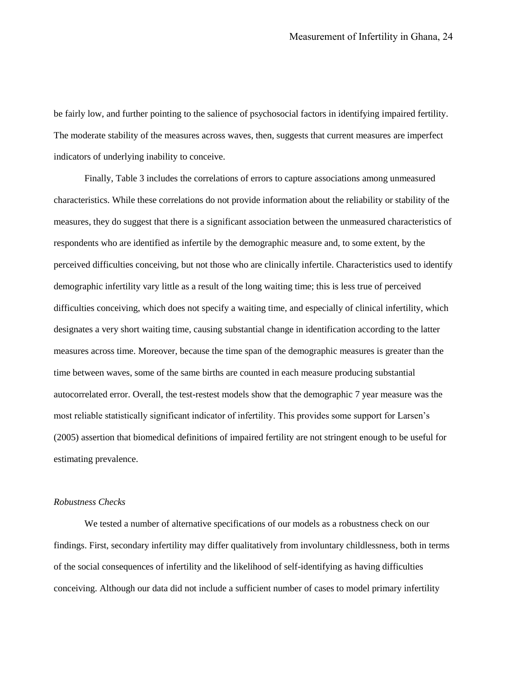be fairly low, and further pointing to the salience of psychosocial factors in identifying impaired fertility. The moderate stability of the measures across waves, then, suggests that current measures are imperfect indicators of underlying inability to conceive.

Finally, Table 3 includes the correlations of errors to capture associations among unmeasured characteristics. While these correlations do not provide information about the reliability or stability of the measures, they do suggest that there is a significant association between the unmeasured characteristics of respondents who are identified as infertile by the demographic measure and, to some extent, by the perceived difficulties conceiving, but not those who are clinically infertile. Characteristics used to identify demographic infertility vary little as a result of the long waiting time; this is less true of perceived difficulties conceiving, which does not specify a waiting time, and especially of clinical infertility, which designates a very short waiting time, causing substantial change in identification according to the latter measures across time. Moreover, because the time span of the demographic measures is greater than the time between waves, some of the same births are counted in each measure producing substantial autocorrelated error. Overall, the test-restest models show that the demographic 7 year measure was the most reliable statistically significant indicator of infertility. This provides some support for Larsen's (2005) assertion that biomedical definitions of impaired fertility are not stringent enough to be useful for estimating prevalence.

### *Robustness Checks*

We tested a number of alternative specifications of our models as a robustness check on our findings. First, secondary infertility may differ qualitatively from involuntary childlessness, both in terms of the social consequences of infertility and the likelihood of self-identifying as having difficulties conceiving. Although our data did not include a sufficient number of cases to model primary infertility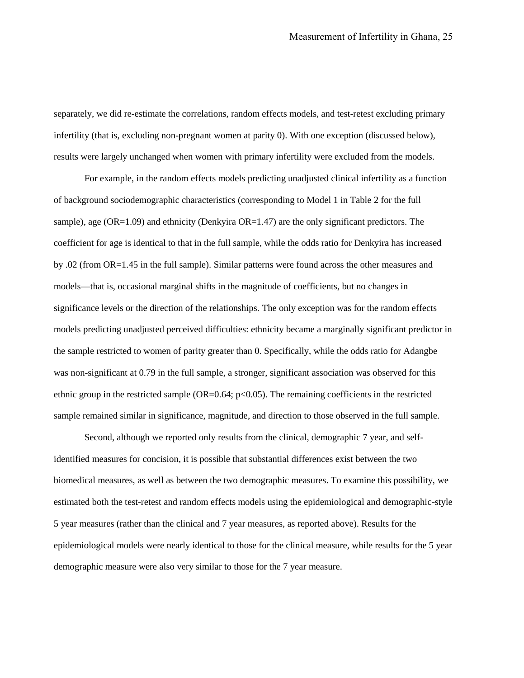separately, we did re-estimate the correlations, random effects models, and test-retest excluding primary infertility (that is, excluding non-pregnant women at parity 0). With one exception (discussed below), results were largely unchanged when women with primary infertility were excluded from the models.

For example, in the random effects models predicting unadjusted clinical infertility as a function of background sociodemographic characteristics (corresponding to Model 1 in Table 2 for the full sample), age (OR=1.09) and ethnicity (Denkyira OR=1.47) are the only significant predictors. The coefficient for age is identical to that in the full sample, while the odds ratio for Denkyira has increased by .02 (from OR=1.45 in the full sample). Similar patterns were found across the other measures and models—that is, occasional marginal shifts in the magnitude of coefficients, but no changes in significance levels or the direction of the relationships. The only exception was for the random effects models predicting unadjusted perceived difficulties: ethnicity became a marginally significant predictor in the sample restricted to women of parity greater than 0. Specifically, while the odds ratio for Adangbe was non-significant at 0.79 in the full sample, a stronger, significant association was observed for this ethnic group in the restricted sample  $(OR=0.64; p<0.05)$ . The remaining coefficients in the restricted sample remained similar in significance, magnitude, and direction to those observed in the full sample.

Second, although we reported only results from the clinical, demographic 7 year, and selfidentified measures for concision, it is possible that substantial differences exist between the two biomedical measures, as well as between the two demographic measures. To examine this possibility, we estimated both the test-retest and random effects models using the epidemiological and demographic-style 5 year measures (rather than the clinical and 7 year measures, as reported above). Results for the epidemiological models were nearly identical to those for the clinical measure, while results for the 5 year demographic measure were also very similar to those for the 7 year measure.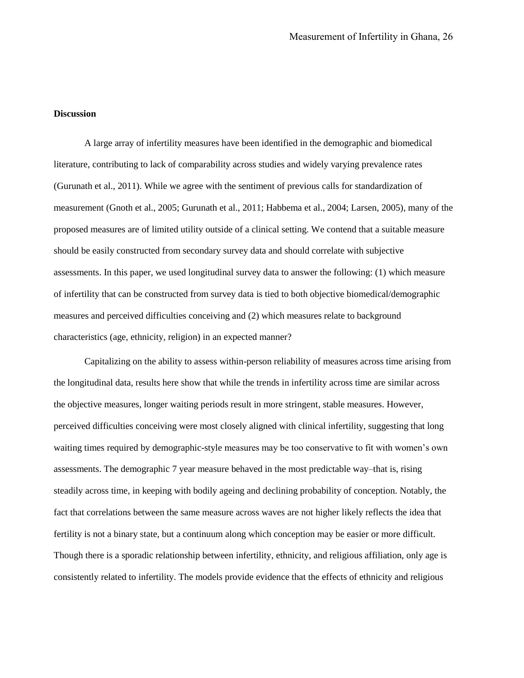### **Discussion**

A large array of infertility measures have been identified in the demographic and biomedical literature, contributing to lack of comparability across studies and widely varying prevalence rates (Gurunath et al., 2011). While we agree with the sentiment of previous calls for standardization of measurement (Gnoth et al., 2005; Gurunath et al., 2011; Habbema et al., 2004; Larsen, 2005), many of the proposed measures are of limited utility outside of a clinical setting. We contend that a suitable measure should be easily constructed from secondary survey data and should correlate with subjective assessments. In this paper, we used longitudinal survey data to answer the following: (1) which measure of infertility that can be constructed from survey data is tied to both objective biomedical/demographic measures and perceived difficulties conceiving and (2) which measures relate to background characteristics (age, ethnicity, religion) in an expected manner?

Capitalizing on the ability to assess within-person reliability of measures across time arising from the longitudinal data, results here show that while the trends in infertility across time are similar across the objective measures, longer waiting periods result in more stringent, stable measures. However, perceived difficulties conceiving were most closely aligned with clinical infertility, suggesting that long waiting times required by demographic-style measures may be too conservative to fit with women's own assessments. The demographic 7 year measure behaved in the most predictable way–that is, rising steadily across time, in keeping with bodily ageing and declining probability of conception. Notably, the fact that correlations between the same measure across waves are not higher likely reflects the idea that fertility is not a binary state, but a continuum along which conception may be easier or more difficult. Though there is a sporadic relationship between infertility, ethnicity, and religious affiliation, only age is consistently related to infertility. The models provide evidence that the effects of ethnicity and religious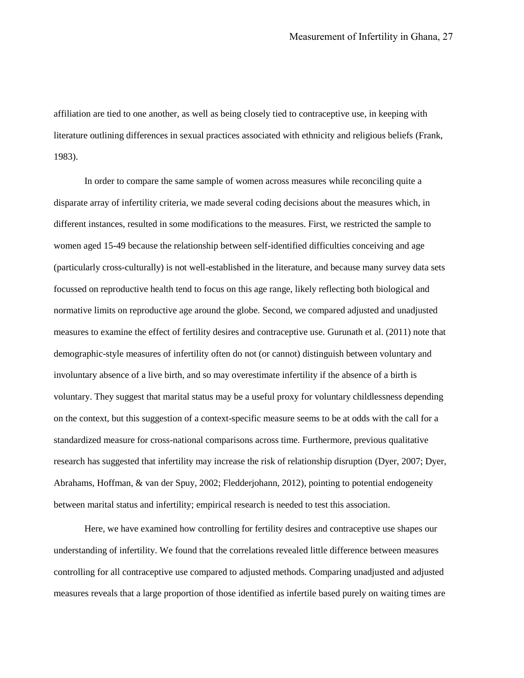affiliation are tied to one another, as well as being closely tied to contraceptive use, in keeping with literature outlining differences in sexual practices associated with ethnicity and religious beliefs (Frank, 1983).

In order to compare the same sample of women across measures while reconciling quite a disparate array of infertility criteria, we made several coding decisions about the measures which, in different instances, resulted in some modifications to the measures. First, we restricted the sample to women aged 15-49 because the relationship between self-identified difficulties conceiving and age (particularly cross-culturally) is not well-established in the literature, and because many survey data sets focussed on reproductive health tend to focus on this age range, likely reflecting both biological and normative limits on reproductive age around the globe. Second, we compared adjusted and unadjusted measures to examine the effect of fertility desires and contraceptive use. Gurunath et al. (2011) note that demographic-style measures of infertility often do not (or cannot) distinguish between voluntary and involuntary absence of a live birth, and so may overestimate infertility if the absence of a birth is voluntary. They suggest that marital status may be a useful proxy for voluntary childlessness depending on the context, but this suggestion of a context-specific measure seems to be at odds with the call for a standardized measure for cross-national comparisons across time. Furthermore, previous qualitative research has suggested that infertility may increase the risk of relationship disruption (Dyer, 2007; Dyer, Abrahams, Hoffman, & van der Spuy, 2002; Fledderjohann, 2012), pointing to potential endogeneity between marital status and infertility; empirical research is needed to test this association.

Here, we have examined how controlling for fertility desires and contraceptive use shapes our understanding of infertility. We found that the correlations revealed little difference between measures controlling for all contraceptive use compared to adjusted methods. Comparing unadjusted and adjusted measures reveals that a large proportion of those identified as infertile based purely on waiting times are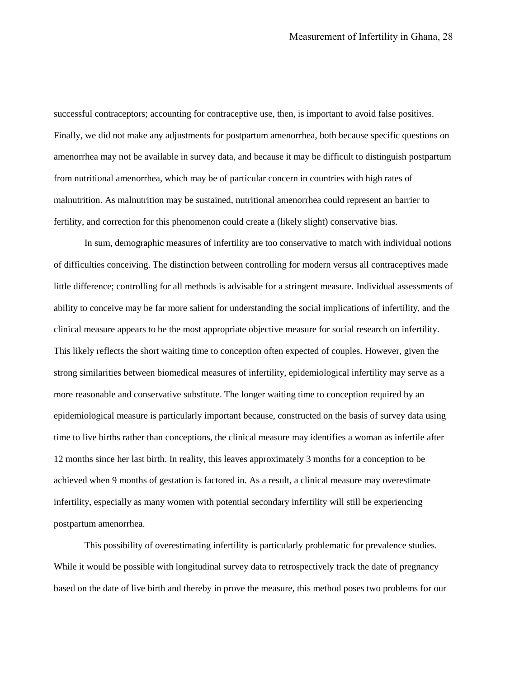successful contraceptors; accounting for contraceptive use, then, is important to avoid false positives. Finally, we did not make any adjustments for postpartum amenorrhea, both because specific questions on amenorrhea may not be available in survey data, and because it may be difficult to distinguish postpartum from nutritional amenorrhea, which may be of particular concern in countries with high rates of malnutrition. As malnutrition may be sustained, nutritional amenorrhea could represent an barrier to fertility, and correction for this phenomenon could create a (likely slight) conservative bias.

In sum, demographic measures of infertility are too conservative to match with individual notions of difficulties conceiving. The distinction between controlling for modern versus all contraceptives made little difference; controlling for all methods is advisable for a stringent measure. Individual assessments of ability to conceive may be far more salient for understanding the social implications of infertility, and the clinical measure appears to be the most appropriate objective measure for social research on infertility. This likely reflects the short waiting time to conception often expected of couples. However, given the strong similarities between biomedical measures of infertility, epidemiological infertility may serve as a more reasonable and conservative substitute. The longer waiting time to conception required by an epidemiological measure is particularly important because, constructed on the basis of survey data using time to live births rather than conceptions, the clinical measure may identifies a woman as infertile after 12 months since her last birth. In reality, this leaves approximately 3 months for a conception to be achieved when 9 months of gestation is factored in. As a result, a clinical measure may overestimate infertility, especially as many women with potential secondary infertility will still be experiencing postpartum amenorrhea.

This possibility of overestimating infertility is particularly problematic for prevalence studies. While it would be possible with longitudinal survey data to retrospectively track the date of pregnancy based on the date of live birth and thereby in prove the measure, this method poses two problems for our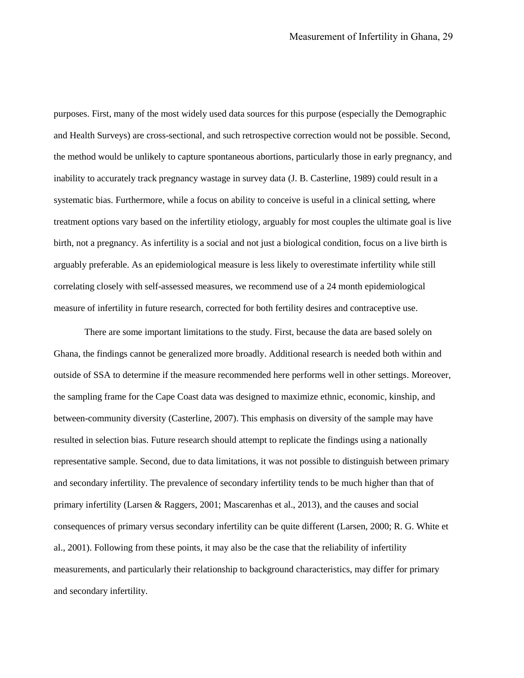purposes. First, many of the most widely used data sources for this purpose (especially the Demographic and Health Surveys) are cross-sectional, and such retrospective correction would not be possible. Second, the method would be unlikely to capture spontaneous abortions, particularly those in early pregnancy, and inability to accurately track pregnancy wastage in survey data (J. B. Casterline, 1989) could result in a systematic bias. Furthermore, while a focus on ability to conceive is useful in a clinical setting, where treatment options vary based on the infertility etiology, arguably for most couples the ultimate goal is live birth, not a pregnancy. As infertility is a social and not just a biological condition, focus on a live birth is arguably preferable. As an epidemiological measure is less likely to overestimate infertility while still correlating closely with self-assessed measures, we recommend use of a 24 month epidemiological measure of infertility in future research, corrected for both fertility desires and contraceptive use.

There are some important limitations to the study. First, because the data are based solely on Ghana, the findings cannot be generalized more broadly. Additional research is needed both within and outside of SSA to determine if the measure recommended here performs well in other settings. Moreover, the sampling frame for the Cape Coast data was designed to maximize ethnic, economic, kinship, and between-community diversity (Casterline, 2007). This emphasis on diversity of the sample may have resulted in selection bias. Future research should attempt to replicate the findings using a nationally representative sample. Second, due to data limitations, it was not possible to distinguish between primary and secondary infertility. The prevalence of secondary infertility tends to be much higher than that of primary infertility (Larsen & Raggers, 2001; Mascarenhas et al., 2013), and the causes and social consequences of primary versus secondary infertility can be quite different (Larsen, 2000; R. G. White et al., 2001). Following from these points, it may also be the case that the reliability of infertility measurements, and particularly their relationship to background characteristics, may differ for primary and secondary infertility.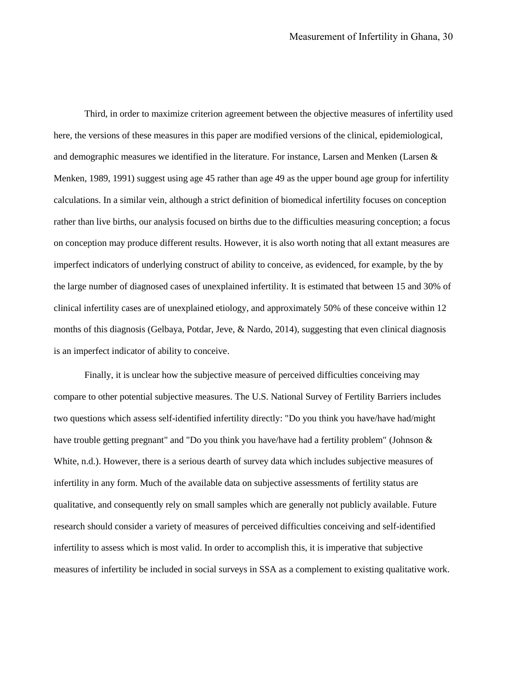Third, in order to maximize criterion agreement between the objective measures of infertility used here, the versions of these measures in this paper are modified versions of the clinical, epidemiological, and demographic measures we identified in the literature. For instance, Larsen and Menken (Larsen & Menken, 1989, 1991) suggest using age 45 rather than age 49 as the upper bound age group for infertility calculations. In a similar vein, although a strict definition of biomedical infertility focuses on conception rather than live births, our analysis focused on births due to the difficulties measuring conception; a focus on conception may produce different results. However, it is also worth noting that all extant measures are imperfect indicators of underlying construct of ability to conceive, as evidenced, for example, by the by the large number of diagnosed cases of unexplained infertility. It is estimated that between 15 and 30% of clinical infertility cases are of unexplained etiology, and approximately 50% of these conceive within 12 months of this diagnosis (Gelbaya, Potdar, Jeve, & Nardo, 2014), suggesting that even clinical diagnosis is an imperfect indicator of ability to conceive.

Finally, it is unclear how the subjective measure of perceived difficulties conceiving may compare to other potential subjective measures. The U.S. National Survey of Fertility Barriers includes two questions which assess self-identified infertility directly: "Do you think you have/have had/might have trouble getting pregnant" and "Do you think you have/have had a fertility problem" (Johnson & White, n.d.). However, there is a serious dearth of survey data which includes subjective measures of infertility in any form. Much of the available data on subjective assessments of fertility status are qualitative, and consequently rely on small samples which are generally not publicly available. Future research should consider a variety of measures of perceived difficulties conceiving and self-identified infertility to assess which is most valid. In order to accomplish this, it is imperative that subjective measures of infertility be included in social surveys in SSA as a complement to existing qualitative work.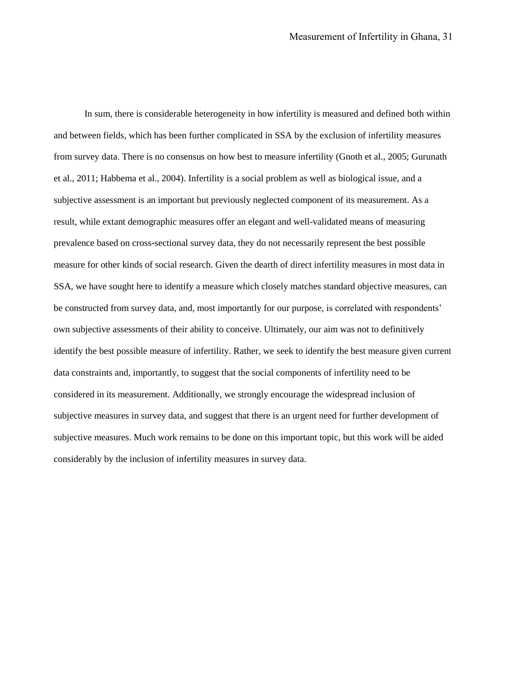In sum, there is considerable heterogeneity in how infertility is measured and defined both within and between fields, which has been further complicated in SSA by the exclusion of infertility measures from survey data. There is no consensus on how best to measure infertility (Gnoth et al., 2005; Gurunath et al., 2011; Habbema et al., 2004). Infertility is a social problem as well as biological issue, and a subjective assessment is an important but previously neglected component of its measurement. As a result, while extant demographic measures offer an elegant and well-validated means of measuring prevalence based on cross-sectional survey data, they do not necessarily represent the best possible measure for other kinds of social research. Given the dearth of direct infertility measures in most data in SSA, we have sought here to identify a measure which closely matches standard objective measures, can be constructed from survey data, and, most importantly for our purpose, is correlated with respondents' own subjective assessments of their ability to conceive. Ultimately, our aim was not to definitively identify the best possible measure of infertility. Rather, we seek to identify the best measure given current data constraints and, importantly, to suggest that the social components of infertility need to be considered in its measurement. Additionally, we strongly encourage the widespread inclusion of subjective measures in survey data, and suggest that there is an urgent need for further development of subjective measures. Much work remains to be done on this important topic, but this work will be aided considerably by the inclusion of infertility measures in survey data.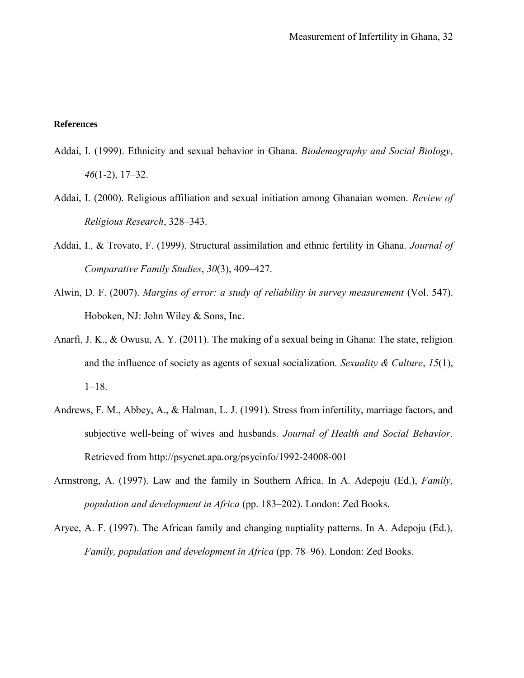#### **References**

- Addai, I. (1999). Ethnicity and sexual behavior in Ghana. *Biodemography and Social Biology*, *46*(1-2), 17–32.
- Addai, I. (2000). Religious affiliation and sexual initiation among Ghanaian women. *Review of Religious Research*, 328–343.
- Addai, I., & Trovato, F. (1999). Structural assimilation and ethnic fertility in Ghana. *Journal of Comparative Family Studies*, *30*(3), 409–427.
- Alwin, D. F. (2007). *Margins of error: a study of reliability in survey measurement* (Vol. 547). Hoboken, NJ: John Wiley & Sons, Inc.
- Anarfi, J. K., & Owusu, A. Y. (2011). The making of a sexual being in Ghana: The state, religion and the influence of society as agents of sexual socialization. *Sexuality & Culture*, *15*(1), 1–18.
- Andrews, F. M., Abbey, A., & Halman, L. J. (1991). Stress from infertility, marriage factors, and subjective well-being of wives and husbands. *Journal of Health and Social Behavior*. Retrieved from http://psycnet.apa.org/psycinfo/1992-24008-001
- Armstrong, A. (1997). Law and the family in Southern Africa. In A. Adepoju (Ed.), *Family, population and development in Africa* (pp. 183–202). London: Zed Books.
- Aryee, A. F. (1997). The African family and changing nuptiality patterns. In A. Adepoju (Ed.), *Family, population and development in Africa* (pp. 78–96). London: Zed Books.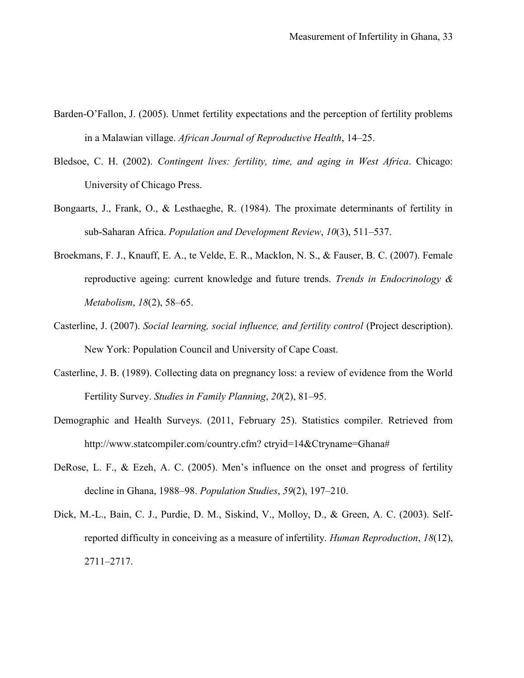- Barden-O'Fallon, J. (2005). Unmet fertility expectations and the perception of fertility problems in a Malawian village. *African Journal of Reproductive Health*, 14–25.
- Bledsoe, C. H. (2002). *Contingent lives: fertility, time, and aging in West Africa*. Chicago: University of Chicago Press.
- Bongaarts, J., Frank, O., & Lesthaeghe, R. (1984). The proximate determinants of fertility in sub-Saharan Africa. *Population and Development Review*, *10*(3), 511–537.
- Broekmans, F. J., Knauff, E. A., te Velde, E. R., Macklon, N. S., & Fauser, B. C. (2007). Female reproductive ageing: current knowledge and future trends. *Trends in Endocrinology & Metabolism*, *18*(2), 58–65.
- Casterline, J. (2007). *Social learning, social influence, and fertility control* (Project description). New York: Population Council and University of Cape Coast.
- Casterline, J. B. (1989). Collecting data on pregnancy loss: a review of evidence from the World Fertility Survey. *Studies in Family Planning*, *20*(2), 81–95.
- Demographic and Health Surveys. (2011, February 25). Statistics compiler. Retrieved from http://www.statcompiler.com/country.cfm? ctryid=14&Ctryname=Ghana#
- DeRose, L. F., & Ezeh, A. C. (2005). Men's influence on the onset and progress of fertility decline in Ghana, 1988–98. *Population Studies*, *59*(2), 197–210.
- Dick, M.-L., Bain, C. J., Purdie, D. M., Siskind, V., Molloy, D., & Green, A. C. (2003). Selfreported difficulty in conceiving as a measure of infertility. *Human Reproduction*, *18*(12), 2711–2717.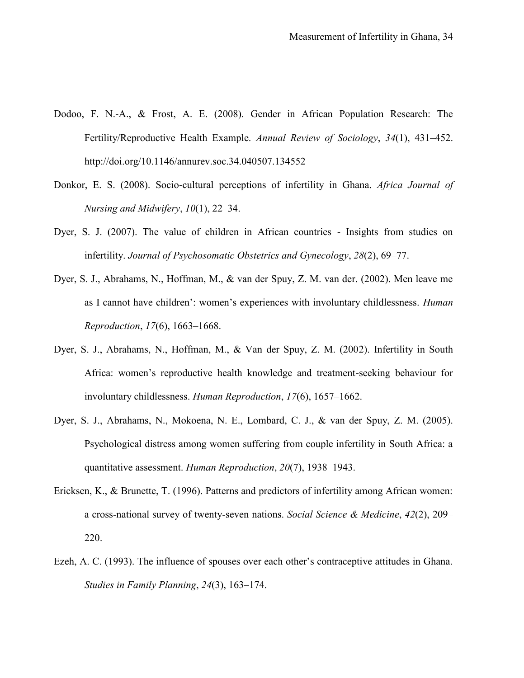- Dodoo, F. N.-A., & Frost, A. E. (2008). Gender in African Population Research: The Fertility/Reproductive Health Example. *Annual Review of Sociology*, *34*(1), 431–452. http://doi.org/10.1146/annurev.soc.34.040507.134552
- Donkor, E. S. (2008). Socio-cultural perceptions of infertility in Ghana. *Africa Journal of Nursing and Midwifery*, *10*(1), 22–34.
- Dyer, S. J. (2007). The value of children in African countries Insights from studies on infertility. *Journal of Psychosomatic Obstetrics and Gynecology*, *28*(2), 69–77.
- Dyer, S. J., Abrahams, N., Hoffman, M., & van der Spuy, Z. M. van der. (2002). Men leave me as I cannot have children': women's experiences with involuntary childlessness. *Human Reproduction*, *17*(6), 1663–1668.
- Dyer, S. J., Abrahams, N., Hoffman, M., & Van der Spuy, Z. M. (2002). Infertility in South Africa: women's reproductive health knowledge and treatment-seeking behaviour for involuntary childlessness. *Human Reproduction*, *17*(6), 1657–1662.
- Dyer, S. J., Abrahams, N., Mokoena, N. E., Lombard, C. J., & van der Spuy, Z. M. (2005). Psychological distress among women suffering from couple infertility in South Africa: a quantitative assessment. *Human Reproduction*, *20*(7), 1938–1943.
- Ericksen, K., & Brunette, T. (1996). Patterns and predictors of infertility among African women: a cross-national survey of twenty-seven nations. *Social Science & Medicine*, *42*(2), 209– 220.
- Ezeh, A. C. (1993). The influence of spouses over each other's contraceptive attitudes in Ghana. *Studies in Family Planning*, *24*(3), 163–174.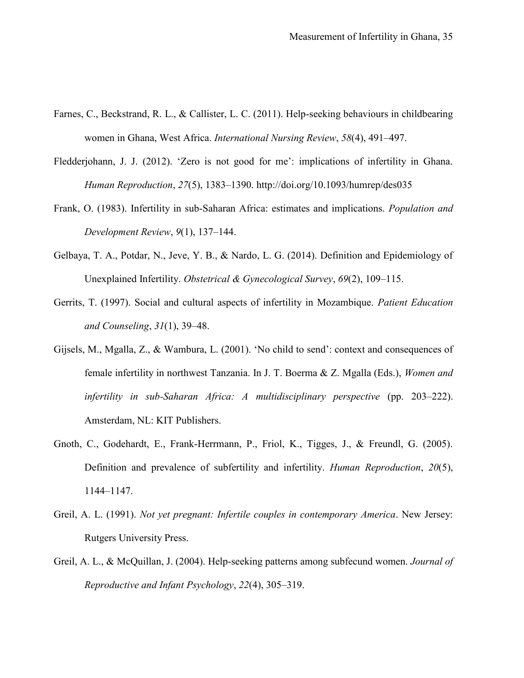- Farnes, C., Beckstrand, R. L., & Callister, L. C. (2011). Help-seeking behaviours in childbearing women in Ghana, West Africa. *International Nursing Review*, *58*(4), 491–497.
- Fledderjohann, J. J. (2012). 'Zero is not good for me': implications of infertility in Ghana. *Human Reproduction*, *27*(5), 1383–1390. http://doi.org/10.1093/humrep/des035
- Frank, O. (1983). Infertility in sub-Saharan Africa: estimates and implications. *Population and Development Review*, *9*(1), 137–144.
- Gelbaya, T. A., Potdar, N., Jeve, Y. B., & Nardo, L. G. (2014). Definition and Epidemiology of Unexplained Infertility. *Obstetrical & Gynecological Survey*, *69*(2), 109–115.
- Gerrits, T. (1997). Social and cultural aspects of infertility in Mozambique. *Patient Education and Counseling*, *31*(1), 39–48.
- Gijsels, M., Mgalla, Z., & Wambura, L. (2001). 'No child to send': context and consequences of female infertility in northwest Tanzania. In J. T. Boerma & Z. Mgalla (Eds.), *Women and infertility in sub-Saharan Africa: A multidisciplinary perspective* (pp. 203–222). Amsterdam, NL: KIT Publishers.
- Gnoth, C., Godehardt, E., Frank-Herrmann, P., Friol, K., Tigges, J., & Freundl, G. (2005). Definition and prevalence of subfertility and infertility. *Human Reproduction*, *20*(5), 1144–1147.
- Greil, A. L. (1991). *Not yet pregnant: Infertile couples in contemporary America*. New Jersey: Rutgers University Press.
- Greil, A. L., & McQuillan, J. (2004). Help-seeking patterns among subfecund women. *Journal of Reproductive and Infant Psychology*, *22*(4), 305–319.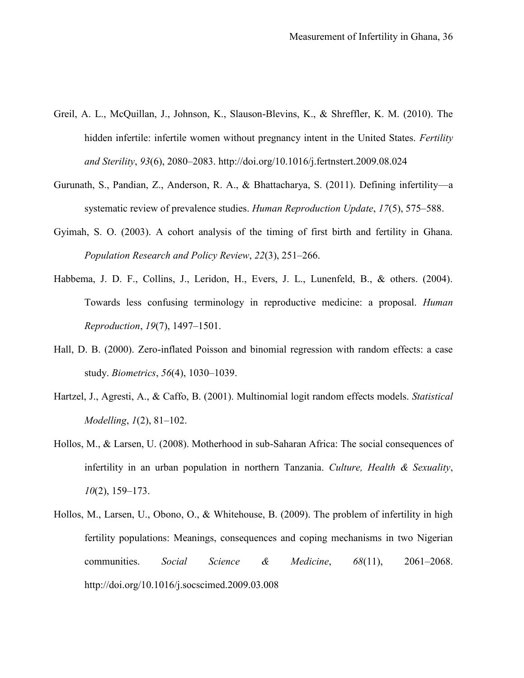- Greil, A. L., McQuillan, J., Johnson, K., Slauson-Blevins, K., & Shreffler, K. M. (2010). The hidden infertile: infertile women without pregnancy intent in the United States. *Fertility and Sterility*, *93*(6), 2080–2083. http://doi.org/10.1016/j.fertnstert.2009.08.024
- Gurunath, S., Pandian, Z., Anderson, R. A., & Bhattacharya, S. (2011). Defining infertility—a systematic review of prevalence studies. *Human Reproduction Update*, *17*(5), 575–588.
- Gyimah, S. O. (2003). A cohort analysis of the timing of first birth and fertility in Ghana. *Population Research and Policy Review*, *22*(3), 251–266.
- Habbema, J. D. F., Collins, J., Leridon, H., Evers, J. L., Lunenfeld, B., & others. (2004). Towards less confusing terminology in reproductive medicine: a proposal. *Human Reproduction*, *19*(7), 1497–1501.
- Hall, D. B. (2000). Zero-inflated Poisson and binomial regression with random effects: a case study. *Biometrics*, *56*(4), 1030–1039.
- Hartzel, J., Agresti, A., & Caffo, B. (2001). Multinomial logit random effects models. *Statistical Modelling*, *1*(2), 81–102.
- Hollos, M., & Larsen, U. (2008). Motherhood in sub-Saharan Africa: The social consequences of infertility in an urban population in northern Tanzania. *Culture, Health & Sexuality*, *10*(2), 159–173.
- Hollos, M., Larsen, U., Obono, O., & Whitehouse, B. (2009). The problem of infertility in high fertility populations: Meanings, consequences and coping mechanisms in two Nigerian communities. *Social Science & Medicine*, *68*(11), 2061–2068. http://doi.org/10.1016/j.socscimed.2009.03.008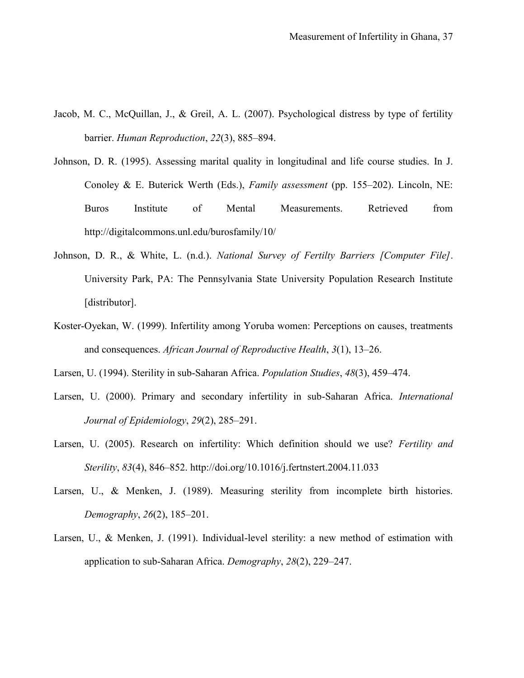- Jacob, M. C., McQuillan, J., & Greil, A. L. (2007). Psychological distress by type of fertility barrier. *Human Reproduction*, *22*(3), 885–894.
- Johnson, D. R. (1995). Assessing marital quality in longitudinal and life course studies. In J. Conoley & E. Buterick Werth (Eds.), *Family assessment* (pp. 155–202). Lincoln, NE: Buros Institute of Mental Measurements. Retrieved from http://digitalcommons.unl.edu/burosfamily/10/
- Johnson, D. R., & White, L. (n.d.). *National Survey of Fertilty Barriers [Computer File]*. University Park, PA: The Pennsylvania State University Population Research Institute [distributor].
- Koster-Oyekan, W. (1999). Infertility among Yoruba women: Perceptions on causes, treatments and consequences. *African Journal of Reproductive Health*, *3*(1), 13–26.
- Larsen, U. (1994). Sterility in sub-Saharan Africa. *Population Studies*, *48*(3), 459–474.
- Larsen, U. (2000). Primary and secondary infertility in sub-Saharan Africa. *International Journal of Epidemiology*, *29*(2), 285–291.
- Larsen, U. (2005). Research on infertility: Which definition should we use? *Fertility and Sterility*, *83*(4), 846–852. http://doi.org/10.1016/j.fertnstert.2004.11.033
- Larsen, U., & Menken, J. (1989). Measuring sterility from incomplete birth histories. *Demography*, *26*(2), 185–201.
- Larsen, U., & Menken, J. (1991). Individual-level sterility: a new method of estimation with application to sub-Saharan Africa. *Demography*, *28*(2), 229–247.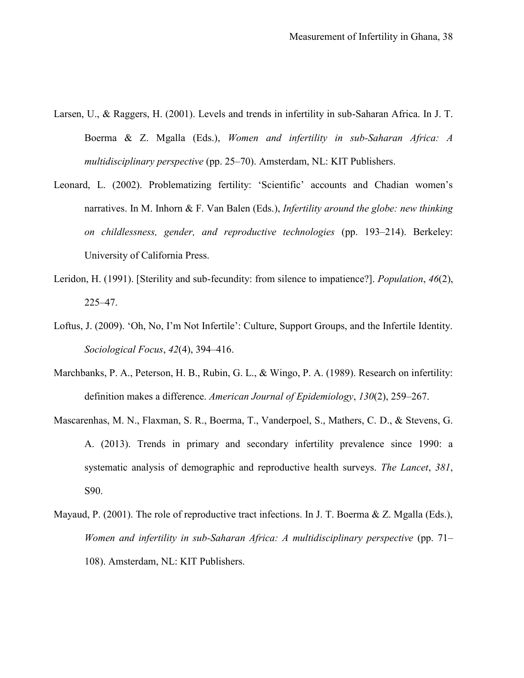- Larsen, U., & Raggers, H. (2001). Levels and trends in infertility in sub-Saharan Africa. In J. T. Boerma & Z. Mgalla (Eds.), *Women and infertility in sub-Saharan Africa: A multidisciplinary perspective* (pp. 25–70). Amsterdam, NL: KIT Publishers.
- Leonard, L. (2002). Problematizing fertility: 'Scientific' accounts and Chadian women's narratives. In M. Inhorn & F. Van Balen (Eds.), *Infertility around the globe: new thinking on childlessness, gender, and reproductive technologies* (pp. 193–214). Berkeley: University of California Press.
- Leridon, H. (1991). [Sterility and sub-fecundity: from silence to impatience?]. *Population*, *46*(2), 225–47.
- Loftus, J. (2009). 'Oh, No, I'm Not Infertile': Culture, Support Groups, and the Infertile Identity. *Sociological Focus*, *42*(4), 394–416.
- Marchbanks, P. A., Peterson, H. B., Rubin, G. L., & Wingo, P. A. (1989). Research on infertility: definition makes a difference. *American Journal of Epidemiology*, *130*(2), 259–267.
- Mascarenhas, M. N., Flaxman, S. R., Boerma, T., Vanderpoel, S., Mathers, C. D., & Stevens, G. A. (2013). Trends in primary and secondary infertility prevalence since 1990: a systematic analysis of demographic and reproductive health surveys. *The Lancet*, *381*, S90.
- Mayaud, P. (2001). The role of reproductive tract infections. In J. T. Boerma & Z. Mgalla (Eds.), *Women and infertility in sub-Saharan Africa: A multidisciplinary perspective* (pp. 71– 108). Amsterdam, NL: KIT Publishers.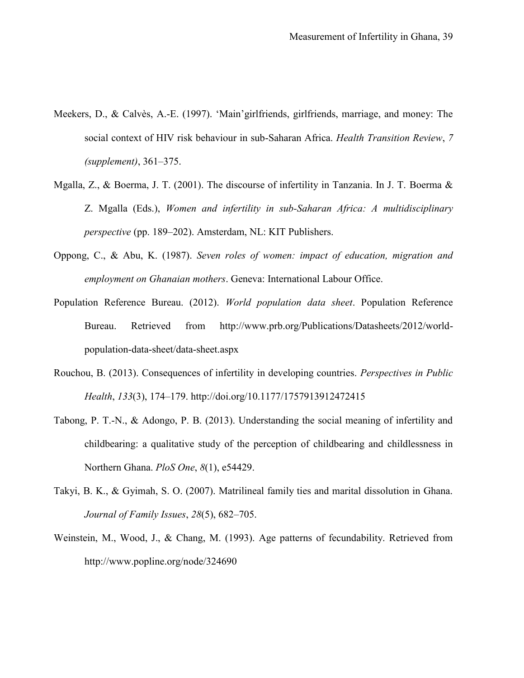- Meekers, D., & Calvès, A.-E. (1997). 'Main'girlfriends, girlfriends, marriage, and money: The social context of HIV risk behaviour in sub-Saharan Africa. *Health Transition Review*, *7 (supplement)*, 361–375.
- Mgalla, Z., & Boerma, J. T. (2001). The discourse of infertility in Tanzania. In J. T. Boerma & Z. Mgalla (Eds.), *Women and infertility in sub-Saharan Africa: A multidisciplinary perspective* (pp. 189–202). Amsterdam, NL: KIT Publishers.
- Oppong, C., & Abu, K. (1987). *Seven roles of women: impact of education, migration and employment on Ghanaian mothers*. Geneva: International Labour Office.
- Population Reference Bureau. (2012). *World population data sheet*. Population Reference Bureau. Retrieved from http://www.prb.org/Publications/Datasheets/2012/worldpopulation-data-sheet/data-sheet.aspx
- Rouchou, B. (2013). Consequences of infertility in developing countries. *Perspectives in Public Health*, *133*(3), 174–179. http://doi.org/10.1177/1757913912472415
- Tabong, P. T.-N., & Adongo, P. B. (2013). Understanding the social meaning of infertility and childbearing: a qualitative study of the perception of childbearing and childlessness in Northern Ghana. *PloS One*, *8*(1), e54429.
- Takyi, B. K., & Gyimah, S. O. (2007). Matrilineal family ties and marital dissolution in Ghana. *Journal of Family Issues*, *28*(5), 682–705.
- Weinstein, M., Wood, J., & Chang, M. (1993). Age patterns of fecundability. Retrieved from http://www.popline.org/node/324690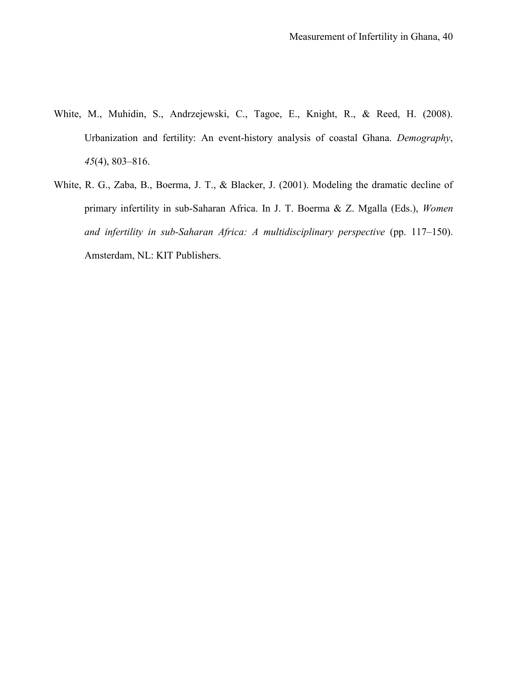- White, M., Muhidin, S., Andrzejewski, C., Tagoe, E., Knight, R., & Reed, H. (2008). Urbanization and fertility: An event-history analysis of coastal Ghana. *Demography*, *45*(4), 803–816.
- White, R. G., Zaba, B., Boerma, J. T., & Blacker, J. (2001). Modeling the dramatic decline of primary infertility in sub-Saharan Africa. In J. T. Boerma & Z. Mgalla (Eds.), *Women and infertility in sub-Saharan Africa: A multidisciplinary perspective* (pp. 117–150). Amsterdam, NL: KIT Publishers.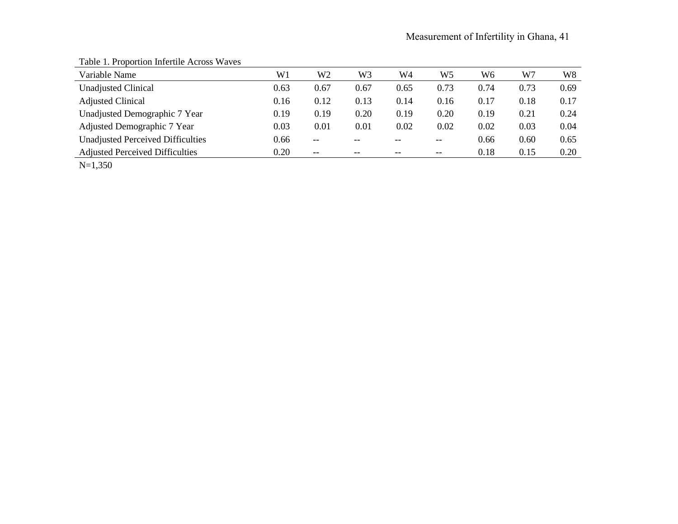| Variable Name                            | W1   | W <sub>2</sub> | W <sub>3</sub> | W4    | W5    | W <sub>6</sub> | W7   | W <sub>8</sub> |
|------------------------------------------|------|----------------|----------------|-------|-------|----------------|------|----------------|
| <b>Unadjusted Clinical</b>               | 0.63 | 0.67           | 0.67           | 0.65  | 0.73  | 0.74           | 0.73 | 0.69           |
| <b>Adjusted Clinical</b>                 | 0.16 | 0.12           | 0.13           | 0.14  | 0.16  | 0.17           | 0.18 | 0.17           |
| Unadjusted Demographic 7 Year            | 0.19 | 0.19           | 0.20           | 0.19  | 0.20  | 0.19           | 0.21 | 0.24           |
| Adjusted Demographic 7 Year              | 0.03 | 0.01           | 0.01           | 0.02  | 0.02  | 0.02           | 0.03 | 0.04           |
| <b>Unadjusted Perceived Difficulties</b> | 0.66 | $- -$          |                | --    | --    | 0.66           | 0.60 | 0.65           |
| <b>Adjusted Perceived Difficulties</b>   | 0.20 | $- -$          | --             | $- -$ | $- -$ | 0.18           | 0.15 | 0.20           |

# Table 1. Proportion Infertile Across Waves

N=1,350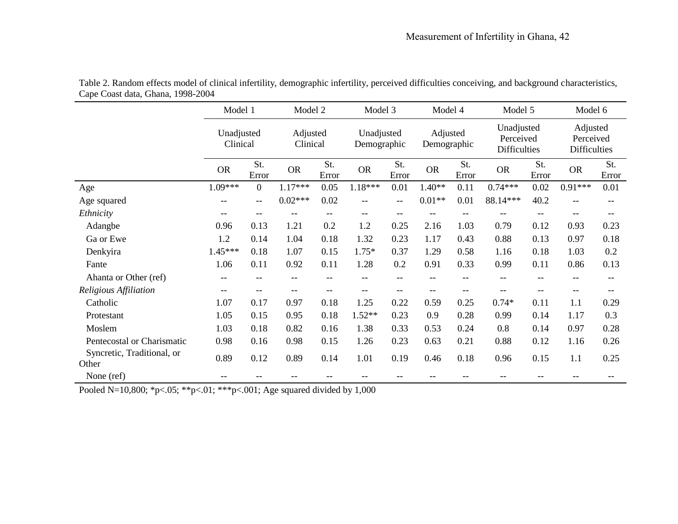|                                     | Model 1                  |                          | Model 2              |              |                           | Model 3      |                         | Model 4      |                                                | Model 5           |                                       | Model 6                  |
|-------------------------------------|--------------------------|--------------------------|----------------------|--------------|---------------------------|--------------|-------------------------|--------------|------------------------------------------------|-------------------|---------------------------------------|--------------------------|
|                                     | Unadjusted<br>Clinical   |                          | Adjusted<br>Clinical |              | Unadjusted<br>Demographic |              | Adjusted<br>Demographic |              | Unadjusted<br>Perceived<br><b>Difficulties</b> |                   | Adjusted<br>Perceived<br>Difficulties |                          |
|                                     | <b>OR</b>                | St.<br>Error             | <b>OR</b>            | St.<br>Error | <b>OR</b>                 | St.<br>Error | <b>OR</b>               | St.<br>Error | <b>OR</b>                                      | St.<br>Error      | <b>OR</b>                             | St.<br>Error             |
| Age                                 | 1.09***                  | $\overline{0}$           | 1.17***              | 0.05         | $1.18***$                 | 0.01         | $1.40**$                | 0.11         | $0.74***$                                      | 0.02              | 0.91***                               | 0.01                     |
| Age squared                         |                          | $\overline{\phantom{m}}$ | $0.02***$            | 0.02         | $-$                       | $-\,-$       | $0.01**$                | 0.01         | 88.14***                                       | 40.2              | $- -$                                 | $\overline{\phantom{m}}$ |
| Ethnicity                           | --                       | $- -$                    |                      | --           | $\overline{\phantom{m}}$  | $-\,-$       |                         |              |                                                | $-$               | $- -$                                 | $- -$                    |
| Adangbe                             | 0.96                     | 0.13                     | 1.21                 | 0.2          | 1.2                       | 0.25         | 2.16                    | 1.03         | 0.79                                           | 0.12              | 0.93                                  | 0.23                     |
| Ga or Ewe                           | 1.2                      | 0.14                     | 1.04                 | 0.18         | 1.32                      | 0.23         | 1.17                    | 0.43         | 0.88                                           | 0.13              | 0.97                                  | 0.18                     |
| Denkyira                            | 1.45***                  | 0.18                     | 1.07                 | 0.15         | $1.75*$                   | 0.37         | 1.29                    | 0.58         | 1.16                                           | 0.18              | 1.03                                  | 0.2                      |
| Fante                               | 1.06                     | 0.11                     | 0.92                 | 0.11         | 1.28                      | 0.2          | 0.91                    | 0.33         | 0.99                                           | 0.11              | 0.86                                  | 0.13                     |
| Ahanta or Other (ref)               | $\overline{\phantom{m}}$ | $- -$                    | --                   | --           | $-$                       | $-\,-$       | --                      |              |                                                | --                | $- -$                                 | $\overline{\phantom{m}}$ |
| Religious Affiliation               | $-\,-$                   | $-\,-$                   | $-\,-$               | $-$          | $\qquad \qquad -$         | $-$          | --                      | $-\,-$       | --                                             | $\qquad \qquad -$ | $\qquad \qquad -$                     | $- -$                    |
| Catholic                            | 1.07                     | 0.17                     | 0.97                 | 0.18         | 1.25                      | 0.22         | 0.59                    | 0.25         | $0.74*$                                        | 0.11              | 1.1                                   | 0.29                     |
| Protestant                          | 1.05                     | 0.15                     | 0.95                 | 0.18         | $1.52**$                  | 0.23         | 0.9                     | 0.28         | 0.99                                           | 0.14              | 1.17                                  | 0.3                      |
| Moslem                              | 1.03                     | 0.18                     | 0.82                 | 0.16         | 1.38                      | 0.33         | 0.53                    | 0.24         | 0.8                                            | 0.14              | 0.97                                  | 0.28                     |
| Pentecostal or Charismatic          | 0.98                     | 0.16                     | 0.98                 | 0.15         | 1.26                      | 0.23         | 0.63                    | 0.21         | 0.88                                           | 0.12              | 1.16                                  | 0.26                     |
| Syncretic, Traditional, or<br>Other | 0.89                     | 0.12                     | 0.89                 | 0.14         | 1.01                      | 0.19         | 0.46                    | 0.18         | 0.96                                           | 0.15              | 1.1                                   | 0.25                     |
| None (ref)                          | --                       | --                       |                      | --           |                           | --           |                         |              |                                                |                   |                                       | --                       |

Table 2. Random effects model of clinical infertility, demographic infertility, perceived difficulties conceiving, and background characteristics, Cape Coast data, Ghana, 1998-2004

Pooled N=10,800; \*p<.05; \*\*p<.01; \*\*\*p<.001; Age squared divided by 1,000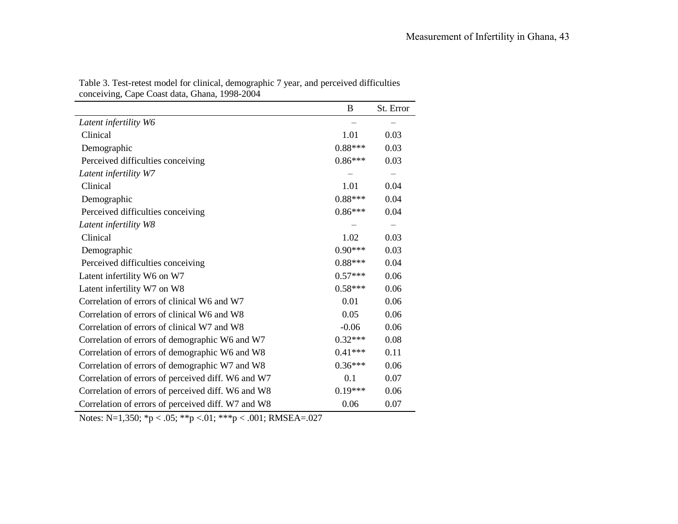|                                                    | B         | St. Error |
|----------------------------------------------------|-----------|-----------|
| Latent infertility W6                              |           |           |
| Clinical                                           | 1.01      | 0.03      |
| Demographic                                        | $0.88***$ | 0.03      |
| Perceived difficulties conceiving                  | $0.86***$ | 0.03      |
| Latent infertility W7                              |           |           |
| Clinical                                           | 1.01      | 0.04      |
| Demographic                                        | $0.88***$ | 0.04      |
| Perceived difficulties conceiving                  | $0.86***$ | 0.04      |
| Latent infertility W8                              |           |           |
| Clinical                                           | 1.02      | 0.03      |
| Demographic                                        | $0.90***$ | 0.03      |
| Perceived difficulties conceiving                  | $0.88***$ | 0.04      |
| Latent infertility W6 on W7                        | $0.57***$ | 0.06      |
| Latent infertility W7 on W8                        | $0.58***$ | 0.06      |
| Correlation of errors of clinical W6 and W7        | 0.01      | 0.06      |
| Correlation of errors of clinical W6 and W8        | 0.05      | 0.06      |
| Correlation of errors of clinical W7 and W8        | $-0.06$   | 0.06      |
| Correlation of errors of demographic W6 and W7     | $0.32***$ | 0.08      |
| Correlation of errors of demographic W6 and W8     | $0.41***$ | 0.11      |
| Correlation of errors of demographic W7 and W8     | $0.36***$ | 0.06      |
| Correlation of errors of perceived diff. W6 and W7 | 0.1       | 0.07      |
| Correlation of errors of perceived diff. W6 and W8 | $0.19***$ | 0.06      |
| Correlation of errors of perceived diff. W7 and W8 | 0.06      | 0.07      |

Table 3. Test-retest model for clinical, demographic 7 year, and perceived difficulties conceiving, Cape Coast data, Ghana, 1998-2004

Notes: N=1,350; \*p < .05; \*\*p <.01; \*\*\*p < .001; RMSEA=.027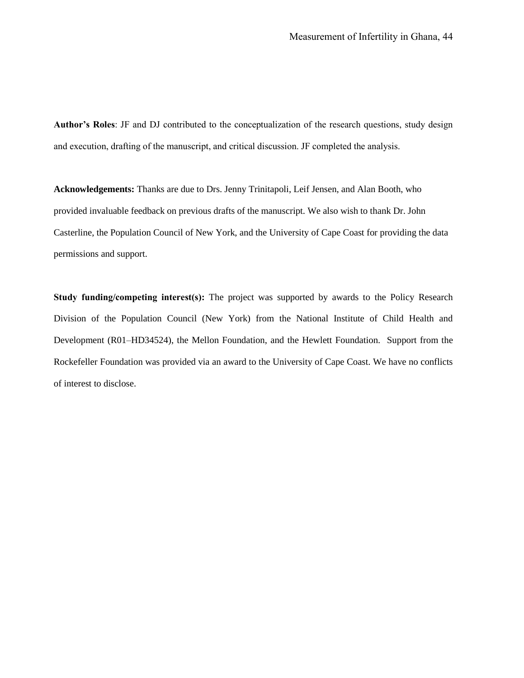**Author's Roles**: JF and DJ contributed to the conceptualization of the research questions, study design and execution, drafting of the manuscript, and critical discussion. JF completed the analysis.

**Acknowledgements:** Thanks are due to Drs. Jenny Trinitapoli, Leif Jensen, and Alan Booth, who provided invaluable feedback on previous drafts of the manuscript. We also wish to thank Dr. John Casterline, the Population Council of New York, and the University of Cape Coast for providing the data permissions and support.

**Study funding/competing interest(s):** The project was supported by awards to the Policy Research Division of the Population Council (New York) from the National Institute of Child Health and Development (R01–HD34524), the Mellon Foundation, and the Hewlett Foundation. Support from the Rockefeller Foundation was provided via an award to the University of Cape Coast. We have no conflicts of interest to disclose.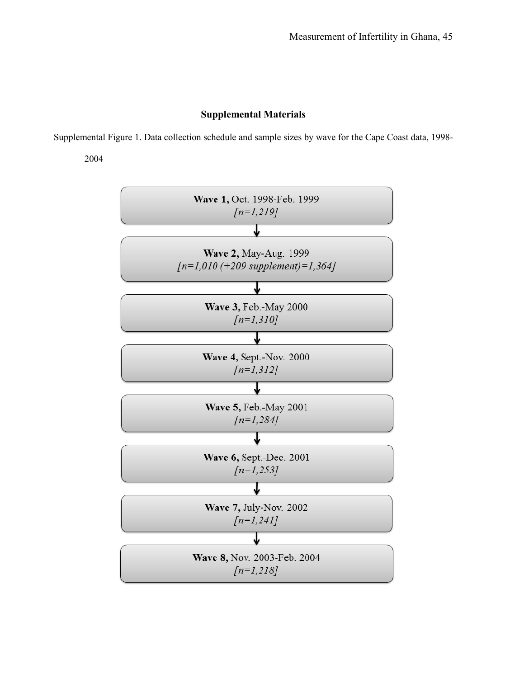# **Supplemental Materials**

Supplemental Figure 1. Data collection schedule and sample sizes by wave for the Cape Coast data, 1998-

2004

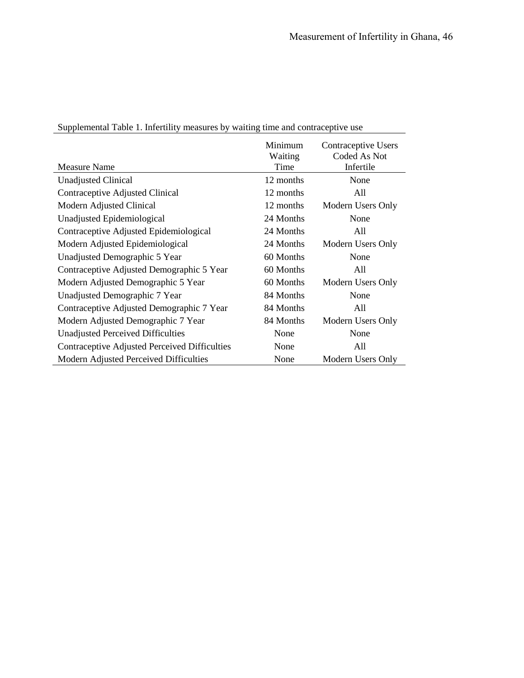| <b>Measure Name</b>                           | Minimum<br>Waiting<br>Time | Contraceptive Users<br>Coded As Not<br>Infertile |
|-----------------------------------------------|----------------------------|--------------------------------------------------|
| <b>Unadjusted Clinical</b>                    | 12 months                  | None                                             |
| Contraceptive Adjusted Clinical               | 12 months                  | All                                              |
| Modern Adjusted Clinical                      | 12 months                  | Modern Users Only                                |
| Unadjusted Epidemiological                    | 24 Months                  | None                                             |
| Contraceptive Adjusted Epidemiological        | 24 Months                  | All                                              |
| Modern Adjusted Epidemiological               | 24 Months                  | Modern Users Only                                |
| Unadjusted Demographic 5 Year                 | 60 Months                  | None                                             |
| Contraceptive Adjusted Demographic 5 Year     | 60 Months                  | A11                                              |
| Modern Adjusted Demographic 5 Year            | 60 Months                  | Modern Users Only                                |
| Unadjusted Demographic 7 Year                 | 84 Months                  | None                                             |
| Contraceptive Adjusted Demographic 7 Year     | 84 Months                  | All                                              |
| Modern Adjusted Demographic 7 Year            | 84 Months                  | Modern Users Only                                |
| <b>Unadjusted Perceived Difficulties</b>      | None                       | None                                             |
| Contraceptive Adjusted Perceived Difficulties | None                       | All                                              |
| Modern Adjusted Perceived Difficulties        | None                       | Modern Users Only                                |

Supplemental Table 1. Infertility measures by waiting time and contraceptive use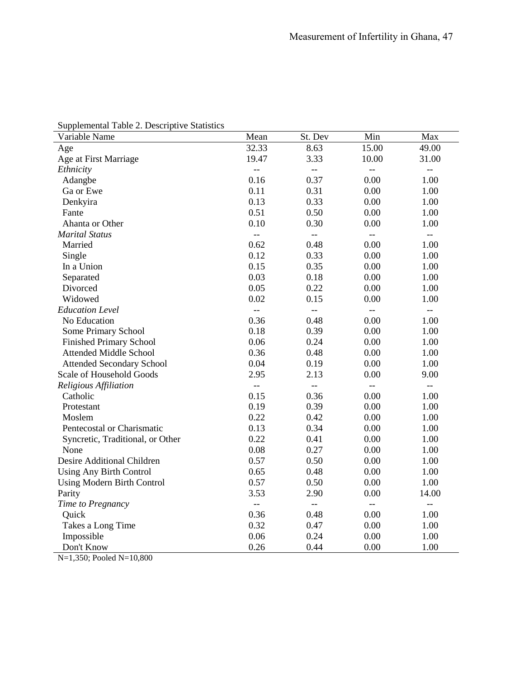| Supplemental Table 2. Descriptive Statistics |  |
|----------------------------------------------|--|
|----------------------------------------------|--|

| Variable Name                     | Mean           | St. Dev                  | Min                       | Max                      |
|-----------------------------------|----------------|--------------------------|---------------------------|--------------------------|
| Age                               | 32.33          | 8.63                     | 15.00                     | 49.00                    |
| Age at First Marriage             | 19.47          | 3.33                     | 10.00                     | 31.00                    |
| Ethnicity                         | $\overline{a}$ | $\overline{\phantom{m}}$ | $\overline{\phantom{m}}$  | $-\,-$                   |
| Adangbe                           | 0.16           | 0.37                     | 0.00                      | 1.00                     |
| Ga or Ewe                         | 0.11           | 0.31                     | 0.00                      | 1.00                     |
| Denkyira                          | 0.13           | 0.33                     | 0.00                      | 1.00                     |
| Fante                             | 0.51           | 0.50                     | 0.00                      | 1.00                     |
| Ahanta or Other                   | 0.10           | 0.30                     | 0.00                      | 1.00                     |
| <b>Marital Status</b>             | $\overline{a}$ | $\overline{a}$           | $-$                       | $\overline{\phantom{m}}$ |
| Married                           | 0.62           | 0.48                     | 0.00                      | 1.00                     |
| Single                            | 0.12           | 0.33                     | 0.00                      | 1.00                     |
| In a Union                        | 0.15           | 0.35                     | 0.00                      | 1.00                     |
| Separated                         | 0.03           | 0.18                     | 0.00                      | 1.00                     |
| Divorced                          | 0.05           | 0.22                     | 0.00                      | 1.00                     |
| Widowed                           | 0.02           | 0.15                     | 0.00                      | 1.00                     |
| <b>Education Level</b>            | $\overline{a}$ | $\overline{a}$           | $\mathbb{L}^{\mathbb{L}}$ | $-\, -$                  |
| No Education                      | 0.36           | 0.48                     | 0.00                      | 1.00                     |
| Some Primary School               | 0.18           | 0.39                     | 0.00                      | 1.00                     |
| <b>Finished Primary School</b>    | 0.06           | 0.24                     | 0.00                      | 1.00                     |
| <b>Attended Middle School</b>     | 0.36           | 0.48                     | 0.00                      | 1.00                     |
| <b>Attended Secondary School</b>  | 0.04           | 0.19                     | 0.00                      | 1.00                     |
| Scale of Household Goods          | 2.95           | 2.13                     | 0.00                      | 9.00                     |
| Religious Affiliation             | ΞĒ,            | $\overline{\phantom{a}}$ | $-$                       | $\overline{\phantom{m}}$ |
| Catholic                          | 0.15           | 0.36                     | 0.00                      | 1.00                     |
| Protestant                        | 0.19           | 0.39                     | 0.00                      | 1.00                     |
| Moslem                            | 0.22           | 0.42                     | 0.00                      | 1.00                     |
| Pentecostal or Charismatic        | 0.13           | 0.34                     | 0.00                      | 1.00                     |
| Syncretic, Traditional, or Other  | 0.22           | 0.41                     | 0.00                      | 1.00                     |
| None                              | 0.08           | 0.27                     | 0.00                      | 1.00                     |
| Desire Additional Children        | 0.57           | 0.50                     | 0.00                      | 1.00                     |
| <b>Using Any Birth Control</b>    | 0.65           | 0.48                     | 0.00                      | 1.00                     |
| <b>Using Modern Birth Control</b> | 0.57           | 0.50                     | 0.00                      | 1.00                     |
| Parity                            | 3.53           | 2.90                     | 0.00                      | 14.00                    |
| Time to Pregnancy                 | $\overline{a}$ | $\overline{\phantom{a}}$ | $\overline{\phantom{a}}$  | $\overline{\phantom{a}}$ |
| Quick                             | 0.36           | 0.48                     | 0.00                      | 1.00                     |
| Takes a Long Time                 | 0.32           | 0.47                     | 0.00                      | 1.00                     |
| Impossible                        | 0.06           | 0.24                     | 0.00                      | 1.00                     |
| Don't Know                        | 0.26           | 0.44                     | 0.00                      | 1.00                     |

N=1,350; Pooled N=10,800